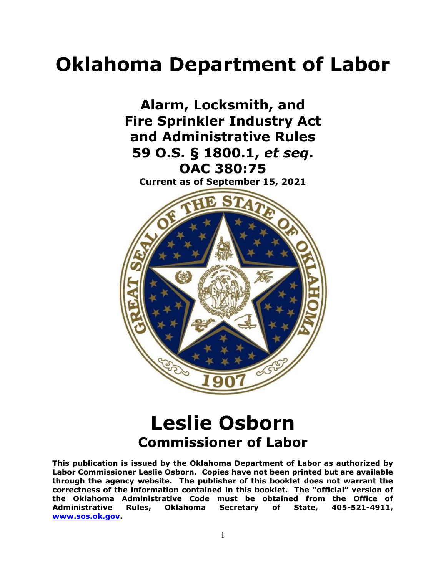# **Oklahoma Department of Labor**



## **Leslie Osborn Commissioner of Labor**

**This publication is issued by the Oklahoma Department of Labor as authorized by Labor Commissioner Leslie Osborn. Copies have not been printed but are available through the agency website. The publisher of this booklet does not warrant the correctness of the information contained in this booklet. The "official" version of the Oklahoma Administrative Code must be obtained from the Office of Administrative Rules, Oklahoma Secretary of State, 405-521-4911, [www.sos.ok.gov.](http://www.sos.ok.gov/)**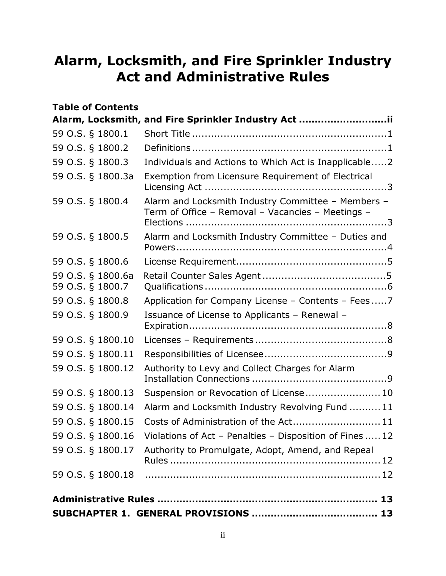## **Alarm, Locksmith, and Fire Sprinkler Industry Act and Administrative Rules**

| <b>Table of Contents</b>              |                                                                                                         |  |  |
|---------------------------------------|---------------------------------------------------------------------------------------------------------|--|--|
|                                       | Alarm, Locksmith, and Fire Sprinkler Industry Act ii                                                    |  |  |
| 59 O.S. § 1800.1                      |                                                                                                         |  |  |
| 59 O.S. § 1800.2                      |                                                                                                         |  |  |
| 59 O.S. § 1800.3                      | Individuals and Actions to Which Act is Inapplicable2                                                   |  |  |
| 59 O.S. § 1800.3a                     | Exemption from Licensure Requirement of Electrical                                                      |  |  |
| 59 O.S. § 1800.4                      | Alarm and Locksmith Industry Committee - Members -<br>Term of Office - Removal - Vacancies - Meetings - |  |  |
| 59 O.S. § 1800.5                      | Alarm and Locksmith Industry Committee - Duties and                                                     |  |  |
| 59 O.S. § 1800.6                      |                                                                                                         |  |  |
| 59 O.S. § 1800.6a<br>59 O.S. § 1800.7 |                                                                                                         |  |  |
| 59 O.S. § 1800.8                      | Application for Company License - Contents - Fees7                                                      |  |  |
| 59 O.S. § 1800.9                      | Issuance of License to Applicants - Renewal -                                                           |  |  |
| 59 O.S. § 1800.10                     |                                                                                                         |  |  |
| 59 O.S. § 1800.11                     |                                                                                                         |  |  |
| 59 O.S. § 1800.12                     | Authority to Levy and Collect Charges for Alarm                                                         |  |  |
| 59 O.S. § 1800.13                     | Suspension or Revocation of License 10                                                                  |  |  |
| 59 O.S. § 1800.14                     | Alarm and Locksmith Industry Revolving Fund  11                                                         |  |  |
| 59 O.S. § 1800.15                     | Costs of Administration of the Act 11                                                                   |  |  |
| 59 O.S. § 1800.16                     | Violations of Act - Penalties - Disposition of Fines  12                                                |  |  |
| 59 O.S. § 1800.17                     | Authority to Promulgate, Adopt, Amend, and Repeal                                                       |  |  |
| 59 O.S. § 1800.18                     |                                                                                                         |  |  |
|                                       |                                                                                                         |  |  |

**[SUBCHAPTER 1. GENERAL PROVISIONS](#page-15-1) ........................................ 13**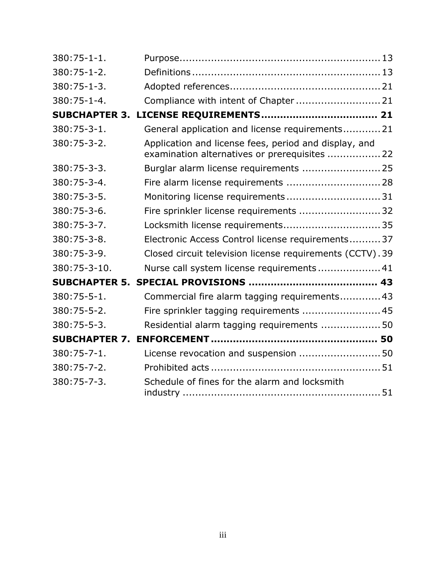<span id="page-2-0"></span>

| $380:75-1-1.$        |                                                                                                        |  |
|----------------------|--------------------------------------------------------------------------------------------------------|--|
| $380:75-1-2.$        |                                                                                                        |  |
| $380:75-1-3.$        |                                                                                                        |  |
| $380:75-1-4.$        | Compliance with intent of Chapter  21                                                                  |  |
| <b>SUBCHAPTER 3.</b> |                                                                                                        |  |
| $380:75-3-1.$        | General application and license requirements 21                                                        |  |
| 380:75-3-2.          | Application and license fees, period and display, and<br>examination alternatives or prerequisites  22 |  |
| $380:75-3-3.$        | Burglar alarm license requirements  25                                                                 |  |
| 380:75-3-4.          | Fire alarm license requirements  28                                                                    |  |
| 380:75-3-5.          | Monitoring license requirements 31                                                                     |  |
| 380:75-3-6.          | Fire sprinkler license requirements  32                                                                |  |
| $380:75-3-7.$        | Locksmith license requirements 35                                                                      |  |
| 380:75-3-8.          | Electronic Access Control license requirements 37                                                      |  |
| 380:75-3-9.          | Closed circuit television license requirements (CCTV). 39                                              |  |
| 380:75-3-10.         | Nurse call system license requirements 41                                                              |  |
| <b>SUBCHAPTER 5.</b> |                                                                                                        |  |
| 380:75-5-1.          | Commercial fire alarm tagging requirements43                                                           |  |
| 380:75-5-2.          | Fire sprinkler tagging requirements  45                                                                |  |
| 380:75-5-3.          | Residential alarm tagging requirements  50                                                             |  |
|                      |                                                                                                        |  |
| $380:75 - 7 - 1.$    | License revocation and suspension  50                                                                  |  |
| 380:75-7-2.          |                                                                                                        |  |
| $380:75 - 7 - 3.$    | Schedule of fines for the alarm and locksmith                                                          |  |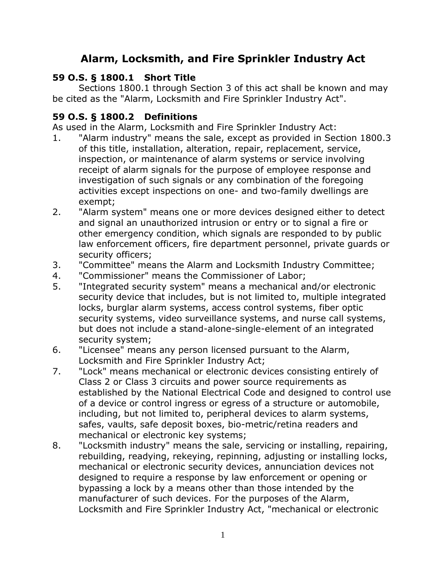## **Alarm, Locksmith, and Fire Sprinkler Industry Act**

## <span id="page-3-0"></span>**59 O.S. § 1800.1 Short Title**

Sections 1800.1 through Section 3 of this act shall be known and may be cited as the "Alarm, Locksmith and Fire Sprinkler Industry Act".

## <span id="page-3-1"></span>**59 O.S. § 1800.2 Definitions**

As used in the Alarm, Locksmith and Fire Sprinkler Industry Act:

- 1. "Alarm industry" means the sale, except as provided in Section 1800.3 of this title, installation, alteration, repair, replacement, service, inspection, or maintenance of alarm systems or service involving receipt of alarm signals for the purpose of employee response and investigation of such signals or any combination of the foregoing activities except inspections on one- and two-family dwellings are exempt;
- 2. "Alarm system" means one or more devices designed either to detect and signal an unauthorized intrusion or entry or to signal a fire or other emergency condition, which signals are responded to by public law enforcement officers, fire department personnel, private guards or security officers;
- 3. "Committee" means the Alarm and Locksmith Industry Committee;
- 4. "Commissioner" means the Commissioner of Labor;
- 5. "Integrated security system" means a mechanical and/or electronic security device that includes, but is not limited to, multiple integrated locks, burglar alarm systems, access control systems, fiber optic security systems, video surveillance systems, and nurse call systems, but does not include a stand-alone-single-element of an integrated security system;
- 6. "Licensee" means any person licensed pursuant to the Alarm, Locksmith and Fire Sprinkler Industry Act;
- 7. "Lock" means mechanical or electronic devices consisting entirely of Class 2 or Class 3 circuits and power source requirements as established by the National Electrical Code and designed to control use of a device or control ingress or egress of a structure or automobile, including, but not limited to, peripheral devices to alarm systems, safes, vaults, safe deposit boxes, bio-metric/retina readers and mechanical or electronic key systems;
- 8. "Locksmith industry" means the sale, servicing or installing, repairing, rebuilding, readying, rekeying, repinning, adjusting or installing locks, mechanical or electronic security devices, annunciation devices not designed to require a response by law enforcement or opening or bypassing a lock by a means other than those intended by the manufacturer of such devices. For the purposes of the Alarm, Locksmith and Fire Sprinkler Industry Act, "mechanical or electronic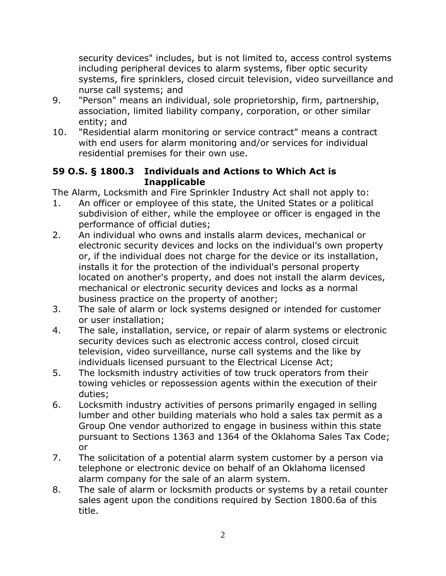security devices" includes, but is not limited to, access control systems including peripheral devices to alarm systems, fiber optic security systems, fire sprinklers, closed circuit television, video surveillance and nurse call systems; and

- 9. "Person" means an individual, sole proprietorship, firm, partnership, association, limited liability company, corporation, or other similar entity; and
- 10. "Residential alarm monitoring or service contract" means a contract with end users for alarm monitoring and/or services for individual residential premises for their own use.

#### <span id="page-4-0"></span>**59 O.S. § 1800.3 Individuals and Actions to Which Act is Inapplicable**

The Alarm, Locksmith and Fire Sprinkler Industry Act shall not apply to:

- 1. An officer or employee of this state, the United States or a political subdivision of either, while the employee or officer is engaged in the performance of official duties;
- 2. An individual who owns and installs alarm devices, mechanical or electronic security devices and locks on the individual's own property or, if the individual does not charge for the device or its installation, installs it for the protection of the individual's personal property located on another's property, and does not install the alarm devices, mechanical or electronic security devices and locks as a normal business practice on the property of another;
- 3. The sale of alarm or lock systems designed or intended for customer or user installation;
- 4. The sale, installation, service, or repair of alarm systems or electronic security devices such as electronic access control, closed circuit television, video surveillance, nurse call systems and the like by individuals licensed pursuant to the Electrical License Act;
- 5. The locksmith industry activities of tow truck operators from their towing vehicles or repossession agents within the execution of their duties;
- 6. Locksmith industry activities of persons primarily engaged in selling lumber and other building materials who hold a sales tax permit as a Group One vendor authorized to engage in business within this state pursuant to Sections 1363 and 1364 of the Oklahoma Sales Tax Code; or
- 7. The solicitation of a potential alarm system customer by a person via telephone or electronic device on behalf of an Oklahoma licensed alarm company for the sale of an alarm system.
- 8. The sale of alarm or locksmith products or systems by a retail counter sales agent upon the conditions required by Section 1800.6a of this title.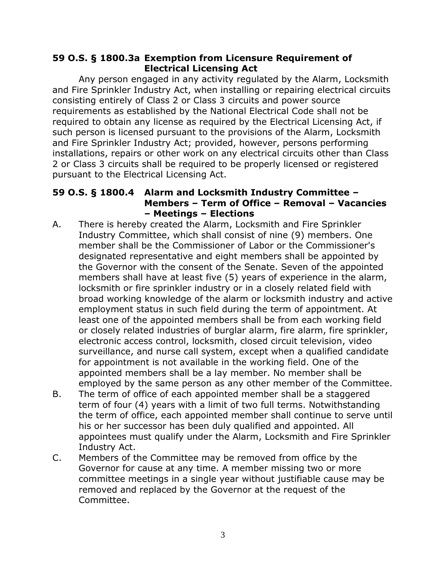#### <span id="page-5-0"></span>**59 O.S. § 1800.3a Exemption from Licensure Requirement of Electrical Licensing Act**

Any person engaged in any activity regulated by the Alarm, Locksmith and Fire Sprinkler Industry Act, when installing or repairing electrical circuits consisting entirely of Class 2 or Class 3 circuits and power source requirements as established by the National Electrical Code shall not be required to obtain any license as required by the Electrical Licensing Act, if such person is licensed pursuant to the provisions of the Alarm, Locksmith and Fire Sprinkler Industry Act; provided, however, persons performing installations, repairs or other work on any electrical circuits other than Class 2 or Class 3 circuits shall be required to be properly licensed or registered pursuant to the Electrical Licensing Act.

#### <span id="page-5-1"></span>**59 O.S. § 1800.4 Alarm and Locksmith Industry Committee – Members – Term of Office – Removal – Vacancies – Meetings – Elections**

- A. There is hereby created the Alarm, Locksmith and Fire Sprinkler Industry Committee, which shall consist of nine (9) members. One member shall be the Commissioner of Labor or the Commissioner's designated representative and eight members shall be appointed by the Governor with the consent of the Senate. Seven of the appointed members shall have at least five (5) years of experience in the alarm, locksmith or fire sprinkler industry or in a closely related field with broad working knowledge of the alarm or locksmith industry and active employment status in such field during the term of appointment. At least one of the appointed members shall be from each working field or closely related industries of burglar alarm, fire alarm, fire sprinkler, electronic access control, locksmith, closed circuit television, video surveillance, and nurse call system, except when a qualified candidate for appointment is not available in the working field. One of the appointed members shall be a lay member. No member shall be employed by the same person as any other member of the Committee.
- B. The term of office of each appointed member shall be a staggered term of four (4) years with a limit of two full terms. Notwithstanding the term of office, each appointed member shall continue to serve until his or her successor has been duly qualified and appointed. All appointees must qualify under the Alarm, Locksmith and Fire Sprinkler Industry Act.
- C. Members of the Committee may be removed from office by the Governor for cause at any time. A member missing two or more committee meetings in a single year without justifiable cause may be removed and replaced by the Governor at the request of the Committee.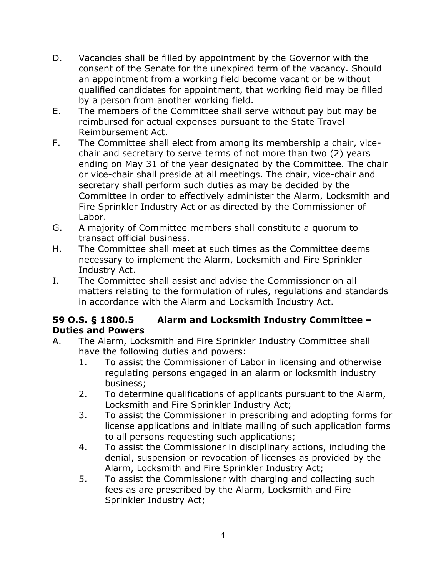- D. Vacancies shall be filled by appointment by the Governor with the consent of the Senate for the unexpired term of the vacancy. Should an appointment from a working field become vacant or be without qualified candidates for appointment, that working field may be filled by a person from another working field.
- E. The members of the Committee shall serve without pay but may be reimbursed for actual expenses pursuant to the State Travel Reimbursement Act.
- F. The Committee shall elect from among its membership a chair, vicechair and secretary to serve terms of not more than two (2) years ending on May 31 of the year designated by the Committee. The chair or vice-chair shall preside at all meetings. The chair, vice-chair and secretary shall perform such duties as may be decided by the Committee in order to effectively administer the Alarm, Locksmith and Fire Sprinkler Industry Act or as directed by the Commissioner of Labor.
- G. A majority of Committee members shall constitute a quorum to transact official business.
- H. The Committee shall meet at such times as the Committee deems necessary to implement the Alarm, Locksmith and Fire Sprinkler Industry Act.
- I. The Committee shall assist and advise the Commissioner on all matters relating to the formulation of rules, regulations and standards in accordance with the Alarm and Locksmith Industry Act.

#### <span id="page-6-0"></span>**59 O.S. § 1800.5 Alarm and Locksmith Industry Committee – Duties and Powers**

- A. The Alarm, Locksmith and Fire Sprinkler Industry Committee shall have the following duties and powers:
	- 1. To assist the Commissioner of Labor in licensing and otherwise regulating persons engaged in an alarm or locksmith industry business;
	- 2. To determine qualifications of applicants pursuant to the Alarm, Locksmith and Fire Sprinkler Industry Act;
	- 3. To assist the Commissioner in prescribing and adopting forms for license applications and initiate mailing of such application forms to all persons requesting such applications;
	- 4. To assist the Commissioner in disciplinary actions, including the denial, suspension or revocation of licenses as provided by the Alarm, Locksmith and Fire Sprinkler Industry Act;
	- 5. To assist the Commissioner with charging and collecting such fees as are prescribed by the Alarm, Locksmith and Fire Sprinkler Industry Act;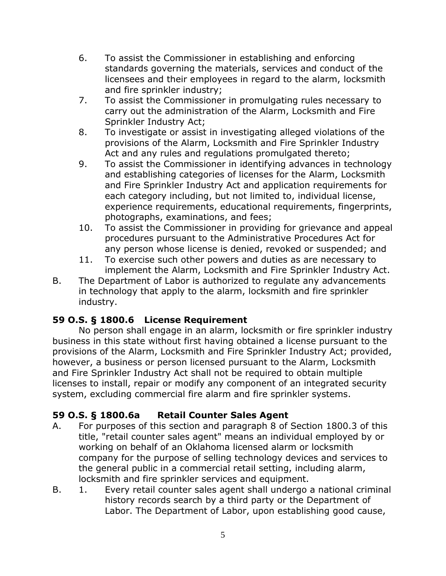- 6. To assist the Commissioner in establishing and enforcing standards governing the materials, services and conduct of the licensees and their employees in regard to the alarm, locksmith and fire sprinkler industry;
- 7. To assist the Commissioner in promulgating rules necessary to carry out the administration of the Alarm, Locksmith and Fire Sprinkler Industry Act;
- 8. To investigate or assist in investigating alleged violations of the provisions of the Alarm, Locksmith and Fire Sprinkler Industry Act and any rules and regulations promulgated thereto;
- 9. To assist the Commissioner in identifying advances in technology and establishing categories of licenses for the Alarm, Locksmith and Fire Sprinkler Industry Act and application requirements for each category including, but not limited to, individual license, experience requirements, educational requirements, fingerprints, photographs, examinations, and fees;
- 10. To assist the Commissioner in providing for grievance and appeal procedures pursuant to the Administrative Procedures Act for any person whose license is denied, revoked or suspended; and
- 11. To exercise such other powers and duties as are necessary to implement the Alarm, Locksmith and Fire Sprinkler Industry Act.
- B. The Department of Labor is authorized to regulate any advancements in technology that apply to the alarm, locksmith and fire sprinkler industry.

## <span id="page-7-0"></span>**59 O.S. § 1800.6 License Requirement**

No person shall engage in an alarm, locksmith or fire sprinkler industry business in this state without first having obtained a license pursuant to the provisions of the Alarm, Locksmith and Fire Sprinkler Industry Act; provided, however, a business or person licensed pursuant to the Alarm, Locksmith and Fire Sprinkler Industry Act shall not be required to obtain multiple licenses to install, repair or modify any component of an integrated security system, excluding commercial fire alarm and fire sprinkler systems.

## **59 O.S. § 1800.6a Retail Counter Sales Agent**

- A. For purposes of this section and paragraph 8 of Section 1800.3 of this title, "retail counter sales agent" means an individual employed by or working on behalf of an Oklahoma licensed alarm or locksmith company for the purpose of selling technology devices and services to the general public in a commercial retail setting, including alarm, locksmith and fire sprinkler services and equipment.
- B. 1. Every retail counter sales agent shall undergo a national criminal history records search by a third party or the Department of Labor. The Department of Labor, upon establishing good cause,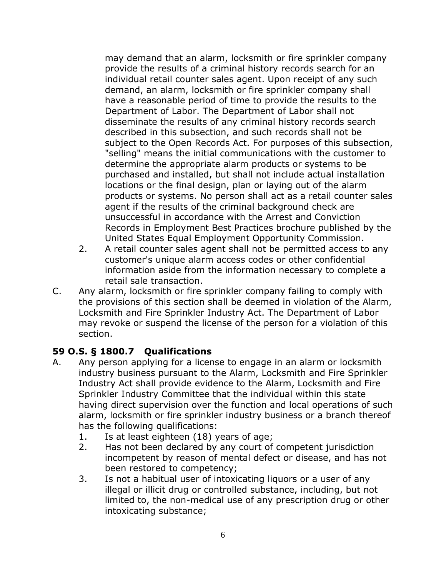may demand that an alarm, locksmith or fire sprinkler company provide the results of a criminal history records search for an individual retail counter sales agent. Upon receipt of any such demand, an alarm, locksmith or fire sprinkler company shall have a reasonable period of time to provide the results to the Department of Labor. The Department of Labor shall not disseminate the results of any criminal history records search described in this subsection, and such records shall not be subject to the Open Records Act. For purposes of this subsection, "selling" means the initial communications with the customer to determine the appropriate alarm products or systems to be purchased and installed, but shall not include actual installation locations or the final design, plan or laying out of the alarm products or systems. No person shall act as a retail counter sales agent if the results of the criminal background check are unsuccessful in accordance with the Arrest and Conviction Records in Employment Best Practices brochure published by the United States Equal Employment Opportunity Commission.

- 2. A retail counter sales agent shall not be permitted access to any customer's unique alarm access codes or other confidential information aside from the information necessary to complete a retail sale transaction.
- C. Any alarm, locksmith or fire sprinkler company failing to comply with the provisions of this section shall be deemed in violation of the Alarm, Locksmith and Fire Sprinkler Industry Act. The Department of Labor may revoke or suspend the license of the person for a violation of this section.

#### <span id="page-8-0"></span>**59 O.S. § 1800.7 Qualifications**

- A. Any person applying for a license to engage in an alarm or locksmith industry business pursuant to the Alarm, Locksmith and Fire Sprinkler Industry Act shall provide evidence to the Alarm, Locksmith and Fire Sprinkler Industry Committee that the individual within this state having direct supervision over the function and local operations of such alarm, locksmith or fire sprinkler industry business or a branch thereof has the following qualifications:
	- 1. Is at least eighteen (18) years of age;
	- 2. Has not been declared by any court of competent jurisdiction incompetent by reason of mental defect or disease, and has not been restored to competency;
	- 3. Is not a habitual user of intoxicating liquors or a user of any illegal or illicit drug or controlled substance, including, but not limited to, the non-medical use of any prescription drug or other intoxicating substance;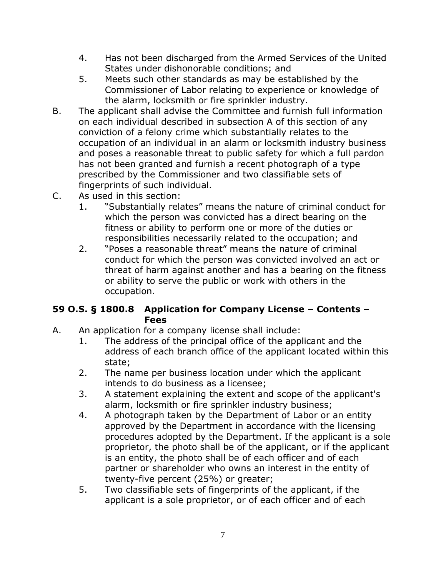- 4. Has not been discharged from the Armed Services of the United States under dishonorable conditions; and
- 5. Meets such other standards as may be established by the Commissioner of Labor relating to experience or knowledge of the alarm, locksmith or fire sprinkler industry.
- B. The applicant shall advise the Committee and furnish full information on each individual described in subsection A of this section of any conviction of a felony crime which substantially relates to the occupation of an individual in an alarm or locksmith industry business and poses a reasonable threat to public safety for which a full pardon has not been granted and furnish a recent photograph of a type prescribed by the Commissioner and two classifiable sets of fingerprints of such individual.
- C. As used in this section:
	- 1. "Substantially relates" means the nature of criminal conduct for which the person was convicted has a direct bearing on the fitness or ability to perform one or more of the duties or responsibilities necessarily related to the occupation; and
	- 2. "Poses a reasonable threat" means the nature of criminal conduct for which the person was convicted involved an act or threat of harm against another and has a bearing on the fitness or ability to serve the public or work with others in the occupation.

#### <span id="page-9-0"></span>**59 O.S. § 1800.8 Application for Company License – Contents – Fees**

- A. An application for a company license shall include:
	- 1. The address of the principal office of the applicant and the address of each branch office of the applicant located within this state;
	- 2. The name per business location under which the applicant intends to do business as a licensee;
	- 3. A statement explaining the extent and scope of the applicant's alarm, locksmith or fire sprinkler industry business;
	- 4. A photograph taken by the Department of Labor or an entity approved by the Department in accordance with the licensing procedures adopted by the Department. If the applicant is a sole proprietor, the photo shall be of the applicant, or if the applicant is an entity, the photo shall be of each officer and of each partner or shareholder who owns an interest in the entity of twenty-five percent (25%) or greater;
	- 5. Two classifiable sets of fingerprints of the applicant, if the applicant is a sole proprietor, or of each officer and of each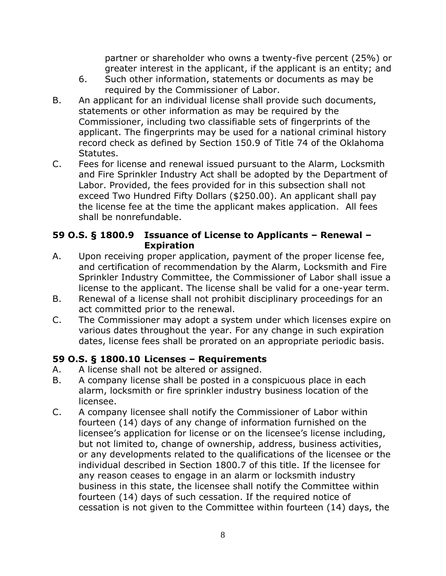partner or shareholder who owns a twenty-five percent (25%) or greater interest in the applicant, if the applicant is an entity; and

- 6. Such other information, statements or documents as may be required by the Commissioner of Labor.
- B. An applicant for an individual license shall provide such documents, statements or other information as may be required by the Commissioner, including two classifiable sets of fingerprints of the applicant. The fingerprints may be used for a national criminal history record check as defined by Section 150.9 of Title 74 of the Oklahoma Statutes.
- C. Fees for license and renewal issued pursuant to the Alarm, Locksmith and Fire Sprinkler Industry Act shall be adopted by the Department of Labor. Provided, the fees provided for in this subsection shall not exceed Two Hundred Fifty Dollars (\$250.00). An applicant shall pay the license fee at the time the applicant makes application. All fees shall be nonrefundable.

#### <span id="page-10-0"></span>**59 O.S. § 1800.9 Issuance of License to Applicants – Renewal – Expiration**

- A. Upon receiving proper application, payment of the proper license fee, and certification of recommendation by the Alarm, Locksmith and Fire Sprinkler Industry Committee, the Commissioner of Labor shall issue a license to the applicant. The license shall be valid for a one-year term.
- B. Renewal of a license shall not prohibit disciplinary proceedings for an act committed prior to the renewal.
- C. The Commissioner may adopt a system under which licenses expire on various dates throughout the year. For any change in such expiration dates, license fees shall be prorated on an appropriate periodic basis.

## <span id="page-10-1"></span>**59 O.S. § 1800.10 Licenses – Requirements**

- A. A license shall not be altered or assigned.
- B. A company license shall be posted in a conspicuous place in each alarm, locksmith or fire sprinkler industry business location of the licensee.
- C. A company licensee shall notify the Commissioner of Labor within fourteen (14) days of any change of information furnished on the licensee's application for license or on the licensee's license including, but not limited to, change of ownership, address, business activities, or any developments related to the qualifications of the licensee or the individual described in Section 1800.7 of this title. If the licensee for any reason ceases to engage in an alarm or locksmith industry business in this state, the licensee shall notify the Committee within fourteen (14) days of such cessation. If the required notice of cessation is not given to the Committee within fourteen (14) days, the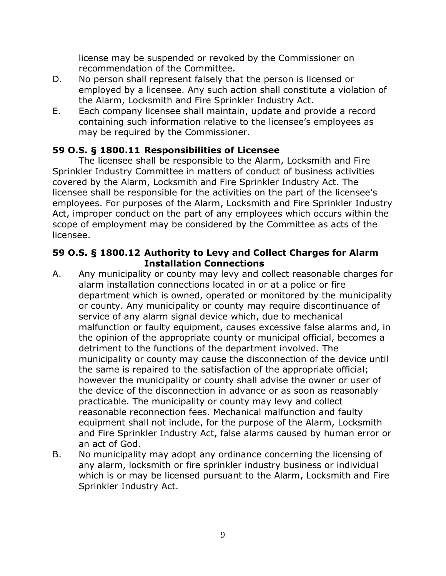license may be suspended or revoked by the Commissioner on recommendation of the Committee.

- D. No person shall represent falsely that the person is licensed or employed by a licensee. Any such action shall constitute a violation of the Alarm, Locksmith and Fire Sprinkler Industry Act.
- E. Each company licensee shall maintain, update and provide a record containing such information relative to the licensee's employees as may be required by the Commissioner.

#### <span id="page-11-0"></span>**59 O.S. § 1800.11 Responsibilities of Licensee**

The licensee shall be responsible to the Alarm, Locksmith and Fire Sprinkler Industry Committee in matters of conduct of business activities covered by the Alarm, Locksmith and Fire Sprinkler Industry Act. The licensee shall be responsible for the activities on the part of the licensee's employees. For purposes of the Alarm, Locksmith and Fire Sprinkler Industry Act, improper conduct on the part of any employees which occurs within the scope of employment may be considered by the Committee as acts of the licensee.

#### <span id="page-11-1"></span>**59 O.S. § 1800.12 Authority to Levy and Collect Charges for Alarm Installation Connections**

- A. Any municipality or county may levy and collect reasonable charges for alarm installation connections located in or at a police or fire department which is owned, operated or monitored by the municipality or county. Any municipality or county may require discontinuance of service of any alarm signal device which, due to mechanical malfunction or faulty equipment, causes excessive false alarms and, in the opinion of the appropriate county or municipal official, becomes a detriment to the functions of the department involved. The municipality or county may cause the disconnection of the device until the same is repaired to the satisfaction of the appropriate official; however the municipality or county shall advise the owner or user of the device of the disconnection in advance or as soon as reasonably practicable. The municipality or county may levy and collect reasonable reconnection fees. Mechanical malfunction and faulty equipment shall not include, for the purpose of the Alarm, Locksmith and Fire Sprinkler Industry Act, false alarms caused by human error or an act of God.
- B. No municipality may adopt any ordinance concerning the licensing of any alarm, locksmith or fire sprinkler industry business or individual which is or may be licensed pursuant to the Alarm, Locksmith and Fire Sprinkler Industry Act.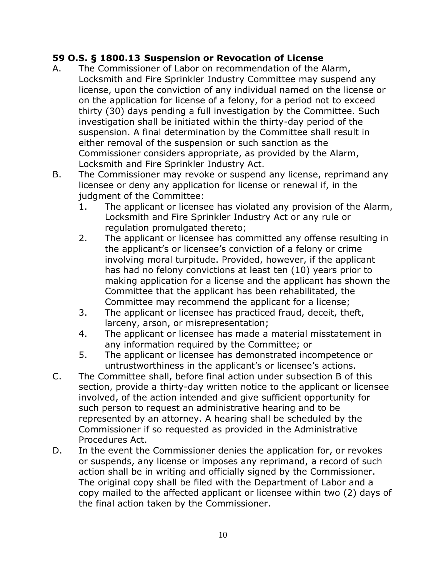#### <span id="page-12-0"></span>**59 O.S. § 1800.13 Suspension or Revocation of License**

- A. The Commissioner of Labor on recommendation of the Alarm, Locksmith and Fire Sprinkler Industry Committee may suspend any license, upon the conviction of any individual named on the license or on the application for license of a felony, for a period not to exceed thirty (30) days pending a full investigation by the Committee. Such investigation shall be initiated within the thirty-day period of the suspension. A final determination by the Committee shall result in either removal of the suspension or such sanction as the Commissioner considers appropriate, as provided by the Alarm, Locksmith and Fire Sprinkler Industry Act.
- B. The Commissioner may revoke or suspend any license, reprimand any licensee or deny any application for license or renewal if, in the judgment of the Committee:
	- 1. The applicant or licensee has violated any provision of the Alarm, Locksmith and Fire Sprinkler Industry Act or any rule or regulation promulgated thereto;
	- 2. The applicant or licensee has committed any offense resulting in the applicant's or licensee's conviction of a felony or crime involving moral turpitude. Provided, however, if the applicant has had no felony convictions at least ten (10) years prior to making application for a license and the applicant has shown the Committee that the applicant has been rehabilitated, the Committee may recommend the applicant for a license;
	- 3. The applicant or licensee has practiced fraud, deceit, theft, larceny, arson, or misrepresentation;
	- 4. The applicant or licensee has made a material misstatement in any information required by the Committee; or
	- 5. The applicant or licensee has demonstrated incompetence or untrustworthiness in the applicant's or licensee's actions.
- C. The Committee shall, before final action under subsection B of this section, provide a thirty-day written notice to the applicant or licensee involved, of the action intended and give sufficient opportunity for such person to request an administrative hearing and to be represented by an attorney. A hearing shall be scheduled by the Commissioner if so requested as provided in the Administrative Procedures Act.
- D. In the event the Commissioner denies the application for, or revokes or suspends, any license or imposes any reprimand, a record of such action shall be in writing and officially signed by the Commissioner. The original copy shall be filed with the Department of Labor and a copy mailed to the affected applicant or licensee within two (2) days of the final action taken by the Commissioner.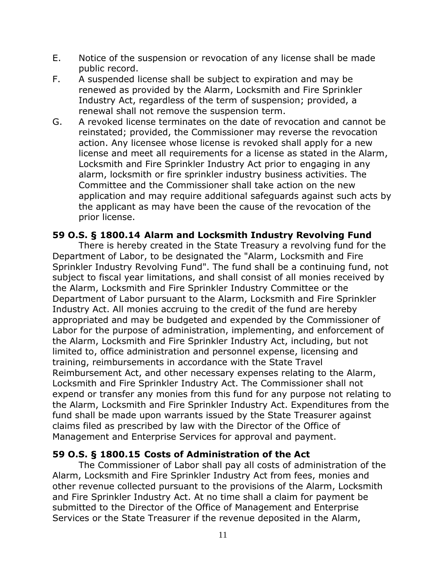- E. Notice of the suspension or revocation of any license shall be made public record.
- F. A suspended license shall be subject to expiration and may be renewed as provided by the Alarm, Locksmith and Fire Sprinkler Industry Act, regardless of the term of suspension; provided, a renewal shall not remove the suspension term.
- G. A revoked license terminates on the date of revocation and cannot be reinstated; provided, the Commissioner may reverse the revocation action. Any licensee whose license is revoked shall apply for a new license and meet all requirements for a license as stated in the Alarm, Locksmith and Fire Sprinkler Industry Act prior to engaging in any alarm, locksmith or fire sprinkler industry business activities. The Committee and the Commissioner shall take action on the new application and may require additional safeguards against such acts by the applicant as may have been the cause of the revocation of the prior license.

#### <span id="page-13-0"></span>**59 O.S. § 1800.14 Alarm and Locksmith Industry Revolving Fund**

There is hereby created in the State Treasury a revolving fund for the Department of Labor, to be designated the "Alarm, Locksmith and Fire Sprinkler Industry Revolving Fund". The fund shall be a continuing fund, not subject to fiscal year limitations, and shall consist of all monies received by the Alarm, Locksmith and Fire Sprinkler Industry Committee or the Department of Labor pursuant to the Alarm, Locksmith and Fire Sprinkler Industry Act. All monies accruing to the credit of the fund are hereby appropriated and may be budgeted and expended by the Commissioner of Labor for the purpose of administration, implementing, and enforcement of the Alarm, Locksmith and Fire Sprinkler Industry Act, including, but not limited to, office administration and personnel expense, licensing and training, reimbursements in accordance with the State Travel Reimbursement Act, and other necessary expenses relating to the Alarm, Locksmith and Fire Sprinkler Industry Act. The Commissioner shall not expend or transfer any monies from this fund for any purpose not relating to the Alarm, Locksmith and Fire Sprinkler Industry Act. Expenditures from the fund shall be made upon warrants issued by the State Treasurer against claims filed as prescribed by law with the Director of the Office of Management and Enterprise Services for approval and payment.

#### <span id="page-13-1"></span>**59 O.S. § 1800.15 Costs of Administration of the Act**

The Commissioner of Labor shall pay all costs of administration of the Alarm, Locksmith and Fire Sprinkler Industry Act from fees, monies and other revenue collected pursuant to the provisions of the Alarm, Locksmith and Fire Sprinkler Industry Act. At no time shall a claim for payment be submitted to the Director of the Office of Management and Enterprise Services or the State Treasurer if the revenue deposited in the Alarm,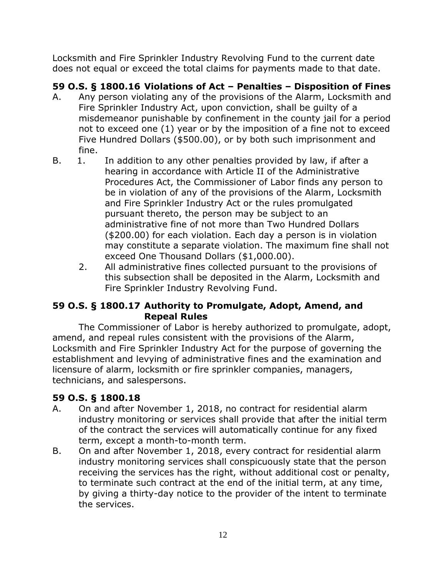Locksmith and Fire Sprinkler Industry Revolving Fund to the current date does not equal or exceed the total claims for payments made to that date.

## <span id="page-14-0"></span>**59 O.S. § 1800.16 Violations of Act – Penalties – Disposition of Fines**

- A. Any person violating any of the provisions of the Alarm, Locksmith and Fire Sprinkler Industry Act, upon conviction, shall be guilty of a misdemeanor punishable by confinement in the county jail for a period not to exceed one (1) year or by the imposition of a fine not to exceed Five Hundred Dollars (\$500.00), or by both such imprisonment and fine.
- B. 1. In addition to any other penalties provided by law, if after a hearing in accordance with Article II of the Administrative Procedures Act, the Commissioner of Labor finds any person to be in violation of any of the provisions of the Alarm, Locksmith and Fire Sprinkler Industry Act or the rules promulgated pursuant thereto, the person may be subject to an administrative fine of not more than Two Hundred Dollars (\$200.00) for each violation. Each day a person is in violation may constitute a separate violation. The maximum fine shall not exceed One Thousand Dollars (\$1,000.00).
	- 2. All administrative fines collected pursuant to the provisions of this subsection shall be deposited in the Alarm, Locksmith and Fire Sprinkler Industry Revolving Fund.

#### <span id="page-14-1"></span>**59 O.S. § 1800.17 Authority to Promulgate, Adopt, Amend, and Repeal Rules**

The Commissioner of Labor is hereby authorized to promulgate, adopt, amend, and repeal rules consistent with the provisions of the Alarm, Locksmith and Fire Sprinkler Industry Act for the purpose of governing the establishment and levying of administrative fines and the examination and licensure of alarm, locksmith or fire sprinkler companies, managers, technicians, and salespersons.

## **59 O.S. § 1800.18**

- A. On and after November 1, 2018, no contract for residential alarm industry monitoring or services shall provide that after the initial term of the contract the services will automatically continue for any fixed term, except a month-to-month term.
- B. On and after November 1, 2018, every contract for residential alarm industry monitoring services shall conspicuously state that the person receiving the services has the right, without additional cost or penalty, to terminate such contract at the end of the initial term, at any time, by giving a thirty-day notice to the provider of the intent to terminate the services.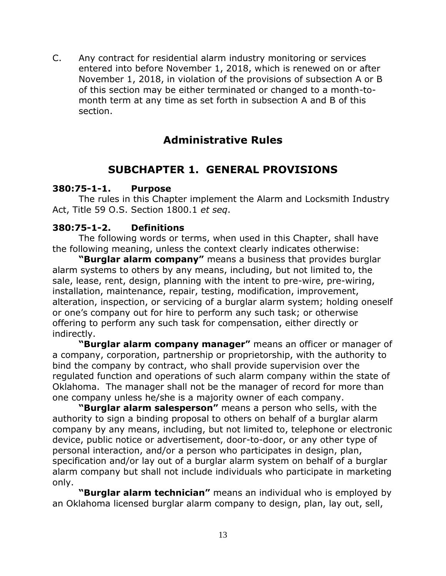<span id="page-15-0"></span>C. Any contract for residential alarm industry monitoring or services entered into before November 1, 2018, which is renewed on or after November 1, 2018, in violation of the provisions of subsection A or B of this section may be either terminated or changed to a month-tomonth term at any time as set forth in subsection A and B of this section.

## **Administrative Rules**

## **SUBCHAPTER 1. GENERAL PROVISIONS**

#### <span id="page-15-2"></span><span id="page-15-1"></span>**380:75-1-1. Purpose**

The rules in this Chapter implement the Alarm and Locksmith Industry Act, Title 59 O.S. Section 1800.1 *et seq*.

#### <span id="page-15-3"></span>**380:75-1-2. Definitions**

The following words or terms, when used in this Chapter, shall have the following meaning, unless the context clearly indicates otherwise:

**"Burglar alarm company"** means a business that provides burglar alarm systems to others by any means, including, but not limited to, the sale, lease, rent, design, planning with the intent to pre-wire, pre-wiring, installation, maintenance, repair, testing, modification, improvement, alteration, inspection, or servicing of a burglar alarm system; holding oneself or one's company out for hire to perform any such task; or otherwise offering to perform any such task for compensation, either directly or indirectly.

**"Burglar alarm company manager"** means an officer or manager of a company, corporation, partnership or proprietorship, with the authority to bind the company by contract, who shall provide supervision over the regulated function and operations of such alarm company within the state of Oklahoma. The manager shall not be the manager of record for more than one company unless he/she is a majority owner of each company.

**"Burglar alarm salesperson"** means a person who sells, with the authority to sign a binding proposal to others on behalf of a burglar alarm company by any means, including, but not limited to, telephone or electronic device, public notice or advertisement, door-to-door, or any other type of personal interaction, and/or a person who participates in design, plan, specification and/or lay out of a burglar alarm system on behalf of a burglar alarm company but shall not include individuals who participate in marketing only.

**"Burglar alarm technician"** means an individual who is employed by an Oklahoma licensed burglar alarm company to design, plan, lay out, sell,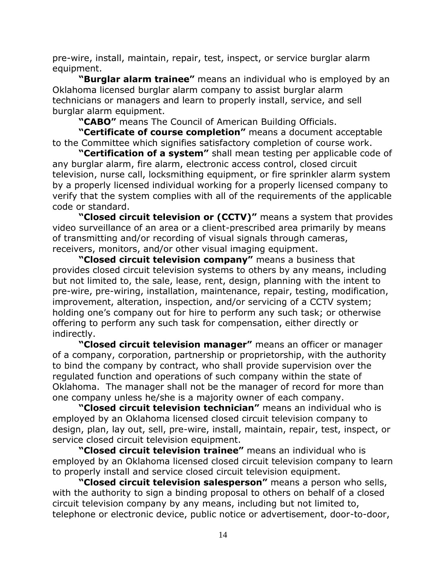pre-wire, install, maintain, repair, test, inspect, or service burglar alarm equipment.

**"Burglar alarm trainee"** means an individual who is employed by an Oklahoma licensed burglar alarm company to assist burglar alarm technicians or managers and learn to properly install, service, and sell burglar alarm equipment.

**"CABO"** means The Council of American Building Officials.

**"Certificate of course completion"** means a document acceptable to the Committee which signifies satisfactory completion of course work.

**"Certification of a system"** shall mean testing per applicable code of any burglar alarm, fire alarm, electronic access control, closed circuit television, nurse call, locksmithing equipment, or fire sprinkler alarm system by a properly licensed individual working for a properly licensed company to verify that the system complies with all of the requirements of the applicable code or standard.

**"Closed circuit television or (CCTV)"** means a system that provides video surveillance of an area or a client-prescribed area primarily by means of transmitting and/or recording of visual signals through cameras, receivers, monitors, and/or other visual imaging equipment.

**"Closed circuit television company"** means a business that provides closed circuit television systems to others by any means, including but not limited to, the sale, lease, rent, design, planning with the intent to pre-wire, pre-wiring, installation, maintenance, repair, testing, modification, improvement, alteration, inspection, and/or servicing of a CCTV system; holding one's company out for hire to perform any such task; or otherwise offering to perform any such task for compensation, either directly or indirectly.

**"Closed circuit television manager"** means an officer or manager of a company, corporation, partnership or proprietorship, with the authority to bind the company by contract, who shall provide supervision over the regulated function and operations of such company within the state of Oklahoma. The manager shall not be the manager of record for more than one company unless he/she is a majority owner of each company.

**"Closed circuit television technician"** means an individual who is employed by an Oklahoma licensed closed circuit television company to design, plan, lay out, sell, pre-wire, install, maintain, repair, test, inspect, or service closed circuit television equipment.

**"Closed circuit television trainee"** means an individual who is employed by an Oklahoma licensed closed circuit television company to learn to properly install and service closed circuit television equipment.

**"Closed circuit television salesperson"** means a person who sells, with the authority to sign a binding proposal to others on behalf of a closed circuit television company by any means, including but not limited to, telephone or electronic device, public notice or advertisement, door-to-door,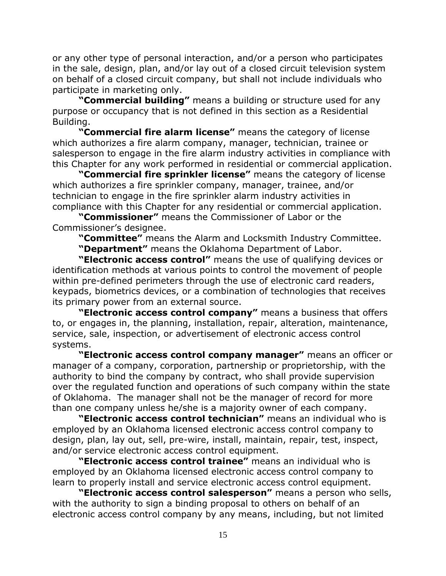or any other type of personal interaction, and/or a person who participates in the sale, design, plan, and/or lay out of a closed circuit television system on behalf of a closed circuit company, but shall not include individuals who participate in marketing only.

**"Commercial building"** means a building or structure used for any purpose or occupancy that is not defined in this section as a Residential Building.

**"Commercial fire alarm license"** means the category of license which authorizes a fire alarm company, manager, technician, trainee or salesperson to engage in the fire alarm industry activities in compliance with this Chapter for any work performed in residential or commercial application.

**"Commercial fire sprinkler license"** means the category of license which authorizes a fire sprinkler company, manager, trainee, and/or technician to engage in the fire sprinkler alarm industry activities in compliance with this Chapter for any residential or commercial application.

**"Commissioner"** means the Commissioner of Labor or the Commissioner's designee.

**"Committee"** means the Alarm and Locksmith Industry Committee. **"Department"** means the Oklahoma Department of Labor.

**"Electronic access control"** means the use of qualifying devices or identification methods at various points to control the movement of people within pre-defined perimeters through the use of electronic card readers, keypads, biometrics devices, or a combination of technologies that receives its primary power from an external source.

**"Electronic access control company"** means a business that offers to, or engages in, the planning, installation, repair, alteration, maintenance, service, sale, inspection, or advertisement of electronic access control systems.

**"Electronic access control company manager"** means an officer or manager of a company, corporation, partnership or proprietorship, with the authority to bind the company by contract, who shall provide supervision over the regulated function and operations of such company within the state of Oklahoma. The manager shall not be the manager of record for more than one company unless he/she is a majority owner of each company.

**"Electronic access control technician"** means an individual who is employed by an Oklahoma licensed electronic access control company to design, plan, lay out, sell, pre-wire, install, maintain, repair, test, inspect, and/or service electronic access control equipment.

**"Electronic access control trainee"** means an individual who is employed by an Oklahoma licensed electronic access control company to learn to properly install and service electronic access control equipment.

**"Electronic access control salesperson"** means a person who sells, with the authority to sign a binding proposal to others on behalf of an electronic access control company by any means, including, but not limited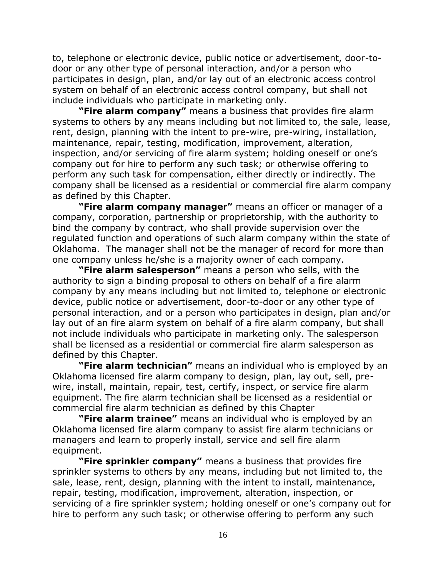to, telephone or electronic device, public notice or advertisement, door-todoor or any other type of personal interaction, and/or a person who participates in design, plan, and/or lay out of an electronic access control system on behalf of an electronic access control company, but shall not include individuals who participate in marketing only.

**"Fire alarm company"** means a business that provides fire alarm systems to others by any means including but not limited to, the sale, lease, rent, design, planning with the intent to pre-wire, pre-wiring, installation, maintenance, repair, testing, modification, improvement, alteration, inspection, and/or servicing of fire alarm system; holding oneself or one's company out for hire to perform any such task; or otherwise offering to perform any such task for compensation, either directly or indirectly. The company shall be licensed as a residential or commercial fire alarm company as defined by this Chapter.

**"Fire alarm company manager"** means an officer or manager of a company, corporation, partnership or proprietorship, with the authority to bind the company by contract, who shall provide supervision over the regulated function and operations of such alarm company within the state of Oklahoma. The manager shall not be the manager of record for more than one company unless he/she is a majority owner of each company.

**"Fire alarm salesperson"** means a person who sells, with the authority to sign a binding proposal to others on behalf of a fire alarm company by any means including but not limited to, telephone or electronic device, public notice or advertisement, door-to-door or any other type of personal interaction, and or a person who participates in design, plan and/or lay out of an fire alarm system on behalf of a fire alarm company, but shall not include individuals who participate in marketing only. The salesperson shall be licensed as a residential or commercial fire alarm salesperson as defined by this Chapter.

**"Fire alarm technician"** means an individual who is employed by an Oklahoma licensed fire alarm company to design, plan, lay out, sell, prewire, install, maintain, repair, test, certify, inspect, or service fire alarm equipment. The fire alarm technician shall be licensed as a residential or commercial fire alarm technician as defined by this Chapter

**"Fire alarm trainee"** means an individual who is employed by an Oklahoma licensed fire alarm company to assist fire alarm technicians or managers and learn to properly install, service and sell fire alarm equipment.

**"Fire sprinkler company"** means a business that provides fire sprinkler systems to others by any means, including but not limited to, the sale, lease, rent, design, planning with the intent to install, maintenance, repair, testing, modification, improvement, alteration, inspection, or servicing of a fire sprinkler system; holding oneself or one's company out for hire to perform any such task; or otherwise offering to perform any such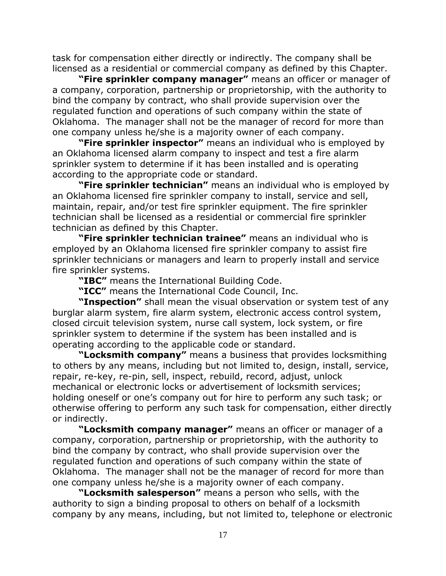task for compensation either directly or indirectly. The company shall be licensed as a residential or commercial company as defined by this Chapter.

**"Fire sprinkler company manager"** means an officer or manager of a company, corporation, partnership or proprietorship, with the authority to bind the company by contract, who shall provide supervision over the regulated function and operations of such company within the state of Oklahoma. The manager shall not be the manager of record for more than one company unless he/she is a majority owner of each company.

**"Fire sprinkler inspector"** means an individual who is employed by an Oklahoma licensed alarm company to inspect and test a fire alarm sprinkler system to determine if it has been installed and is operating according to the appropriate code or standard.

**"Fire sprinkler technician"** means an individual who is employed by an Oklahoma licensed fire sprinkler company to install, service and sell, maintain, repair, and/or test fire sprinkler equipment. The fire sprinkler technician shall be licensed as a residential or commercial fire sprinkler technician as defined by this Chapter.

**"Fire sprinkler technician trainee"** means an individual who is employed by an Oklahoma licensed fire sprinkler company to assist fire sprinkler technicians or managers and learn to properly install and service fire sprinkler systems.

**"IBC"** means the International Building Code.

**"ICC"** means the International Code Council, Inc.

**"Inspection"** shall mean the visual observation or system test of any burglar alarm system, fire alarm system, electronic access control system, closed circuit television system, nurse call system, lock system, or fire sprinkler system to determine if the system has been installed and is operating according to the applicable code or standard.

**"Locksmith company"** means a business that provides locksmithing to others by any means, including but not limited to, design, install, service, repair, re-key, re-pin, sell, inspect, rebuild, record, adjust, unlock mechanical or electronic locks or advertisement of locksmith services; holding oneself or one's company out for hire to perform any such task; or otherwise offering to perform any such task for compensation, either directly or indirectly.

**"Locksmith company manager"** means an officer or manager of a company, corporation, partnership or proprietorship, with the authority to bind the company by contract, who shall provide supervision over the regulated function and operations of such company within the state of Oklahoma. The manager shall not be the manager of record for more than one company unless he/she is a majority owner of each company.

**"Locksmith salesperson"** means a person who sells, with the authority to sign a binding proposal to others on behalf of a locksmith company by any means, including, but not limited to, telephone or electronic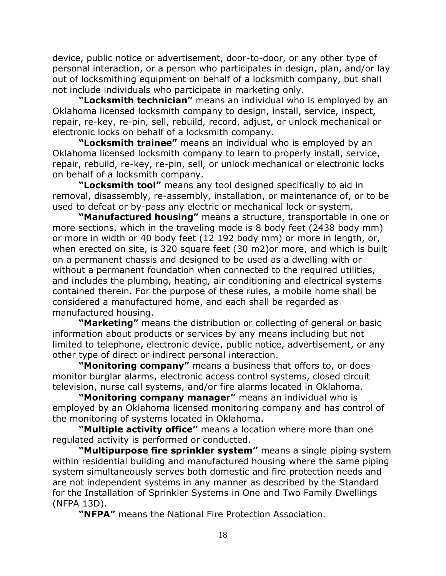device, public notice or advertisement, door-to-door, or any other type of personal interaction, or a person who participates in design, plan, and/or lay out of locksmithing equipment on behalf of a locksmith company, but shall not include individuals who participate in marketing only.

**"Locksmith technician"** means an individual who is employed by an Oklahoma licensed locksmith company to design, install, service, inspect, repair, re-key, re-pin, sell, rebuild, record, adjust, or unlock mechanical or electronic locks on behalf of a locksmith company.

**"Locksmith trainee"** means an individual who is employed by an Oklahoma licensed locksmith company to learn to properly install, service, repair, rebuild, re-key, re-pin, sell, or unlock mechanical or electronic locks on behalf of a locksmith company.

**"Locksmith tool"** means any tool designed specifically to aid in removal, disassembly, re-assembly, installation, or maintenance of, or to be used to defeat or by-pass any electric or mechanical lock or system.

**"Manufactured housing"** means a structure, transportable in one or more sections, which in the traveling mode is 8 body feet (2438 body mm) or more in width or 40 body feet (12 192 body mm) or more in length, or, when erected on site, is 320 square feet (30 m2)or more, and which is built on a permanent chassis and designed to be used as a dwelling with or without a permanent foundation when connected to the required utilities, and includes the plumbing, heating, air conditioning and electrical systems contained therein. For the purpose of these rules, a mobile home shall be considered a manufactured home, and each shall be regarded as manufactured housing.

**"Marketing"** means the distribution or collecting of general or basic information about products or services by any means including but not limited to telephone, electronic device, public notice, advertisement, or any other type of direct or indirect personal interaction.

**"Monitoring company"** means a business that offers to, or does monitor burglar alarms, electronic access control systems, closed circuit television, nurse call systems, and/or fire alarms located in Oklahoma.

**"Monitoring company manager"** means an individual who is employed by an Oklahoma licensed monitoring company and has control of the monitoring of systems located in Oklahoma.

**"Multiple activity office"** means a location where more than one regulated activity is performed or conducted.

**"Multipurpose fire sprinkler system"** means a single piping system within residential building and manufactured housing where the same piping system simultaneously serves both domestic and fire protection needs and are not independent systems in any manner as described by the Standard for the Installation of Sprinkler Systems in One and Two Family Dwellings (NFPA 13D).

**"NFPA"** means the National Fire Protection Association.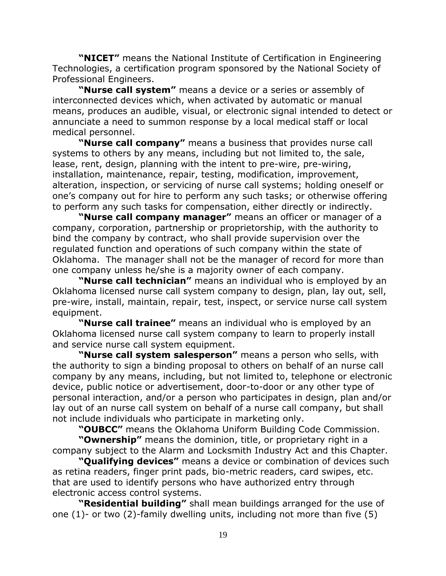**"NICET"** means the National Institute of Certification in Engineering Technologies, a certification program sponsored by the National Society of Professional Engineers.

**"Nurse call system"** means a device or a series or assembly of interconnected devices which, when activated by automatic or manual means, produces an audible, visual, or electronic signal intended to detect or annunciate a need to summon response by a local medical staff or local medical personnel.

**"Nurse call company"** means a business that provides nurse call systems to others by any means, including but not limited to, the sale, lease, rent, design, planning with the intent to pre-wire, pre-wiring, installation, maintenance, repair, testing, modification, improvement, alteration, inspection, or servicing of nurse call systems; holding oneself or one's company out for hire to perform any such tasks; or otherwise offering to perform any such tasks for compensation, either directly or indirectly.

**"Nurse call company manager"** means an officer or manager of a company, corporation, partnership or proprietorship, with the authority to bind the company by contract, who shall provide supervision over the regulated function and operations of such company within the state of Oklahoma. The manager shall not be the manager of record for more than one company unless he/she is a majority owner of each company.

**"Nurse call technician"** means an individual who is employed by an Oklahoma licensed nurse call system company to design, plan, lay out, sell, pre-wire, install, maintain, repair, test, inspect, or service nurse call system equipment.

**"Nurse call trainee"** means an individual who is employed by an Oklahoma licensed nurse call system company to learn to properly install and service nurse call system equipment.

**"Nurse call system salesperson"** means a person who sells, with the authority to sign a binding proposal to others on behalf of an nurse call company by any means, including, but not limited to, telephone or electronic device, public notice or advertisement, door-to-door or any other type of personal interaction, and/or a person who participates in design, plan and/or lay out of an nurse call system on behalf of a nurse call company, but shall not include individuals who participate in marketing only.

**"OUBCC"** means the Oklahoma Uniform Building Code Commission.

**"Ownership"** means the dominion, title, or proprietary right in a company subject to the Alarm and Locksmith Industry Act and this Chapter.

**"Qualifying devices"** means a device or combination of devices such as retina readers, finger print pads, bio-metric readers, card swipes, etc. that are used to identify persons who have authorized entry through electronic access control systems.

**"Residential building"** shall mean buildings arranged for the use of one (1)- or two (2)-family dwelling units, including not more than five (5)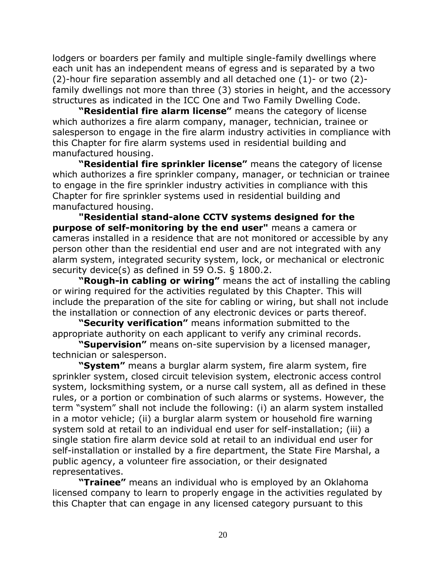lodgers or boarders per family and multiple single-family dwellings where each unit has an independent means of egress and is separated by a two (2)-hour fire separation assembly and all detached one (1)- or two (2) family dwellings not more than three (3) stories in height, and the accessory structures as indicated in the ICC One and Two Family Dwelling Code.

**"Residential fire alarm license"** means the category of license which authorizes a fire alarm company, manager, technician, trainee or salesperson to engage in the fire alarm industry activities in compliance with this Chapter for fire alarm systems used in residential building and manufactured housing.

**"Residential fire sprinkler license"** means the category of license which authorizes a fire sprinkler company, manager, or technician or trainee to engage in the fire sprinkler industry activities in compliance with this Chapter for fire sprinkler systems used in residential building and manufactured housing.

**"Residential stand-alone CCTV systems designed for the purpose of self-monitoring by the end user"** means a camera or cameras installed in a residence that are not monitored or accessible by any person other than the residential end user and are not integrated with any alarm system, integrated security system, lock, or mechanical or electronic security device(s) as defined in 59 O.S. § 1800.2.

**"Rough-in cabling or wiring"** means the act of installing the cabling or wiring required for the activities regulated by this Chapter. This will include the preparation of the site for cabling or wiring, but shall not include the installation or connection of any electronic devices or parts thereof.

**"Security verification"** means information submitted to the appropriate authority on each applicant to verify any criminal records.

**"Supervision"** means on-site supervision by a licensed manager, technician or salesperson.

**"System"** means a burglar alarm system, fire alarm system, fire sprinkler system, closed circuit television system, electronic access control system, locksmithing system, or a nurse call system, all as defined in these rules, or a portion or combination of such alarms or systems. However, the term "system" shall not include the following: (i) an alarm system installed in a motor vehicle; (ii) a burglar alarm system or household fire warning system sold at retail to an individual end user for self-installation; (iii) a single station fire alarm device sold at retail to an individual end user for self-installation or installed by a fire department, the State Fire Marshal, a public agency, a volunteer fire association, or their designated representatives.

**"Trainee"** means an individual who is employed by an Oklahoma licensed company to learn to properly engage in the activities regulated by this Chapter that can engage in any licensed category pursuant to this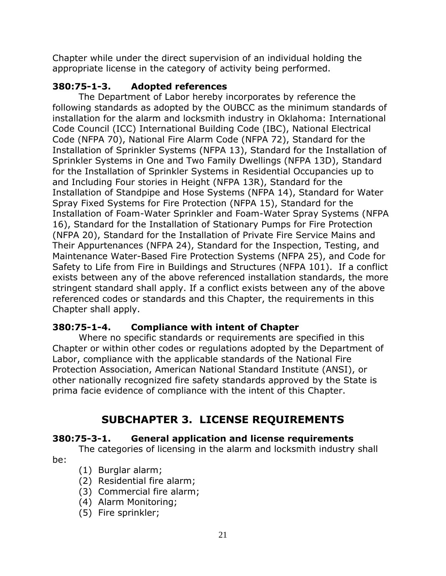Chapter while under the direct supervision of an individual holding the appropriate license in the category of activity being performed.

#### <span id="page-23-0"></span>**380:75-1-3. Adopted references**

The Department of Labor hereby incorporates by reference the following standards as adopted by the OUBCC as the minimum standards of installation for the alarm and locksmith industry in Oklahoma: International Code Council (ICC) International Building Code (IBC), National Electrical Code (NFPA 70), National Fire Alarm Code (NFPA 72), Standard for the Installation of Sprinkler Systems (NFPA 13), Standard for the Installation of Sprinkler Systems in One and Two Family Dwellings (NFPA 13D), Standard for the Installation of Sprinkler Systems in Residential Occupancies up to and Including Four stories in Height (NFPA 13R), Standard for the Installation of Standpipe and Hose Systems (NFPA 14), Standard for Water Spray Fixed Systems for Fire Protection (NFPA 15), Standard for the Installation of Foam-Water Sprinkler and Foam-Water Spray Systems (NFPA 16), Standard for the Installation of Stationary Pumps for Fire Protection (NFPA 20), Standard for the Installation of Private Fire Service Mains and Their Appurtenances (NFPA 24), Standard for the Inspection, Testing, and Maintenance Water-Based Fire Protection Systems (NFPA 25), and Code for Safety to Life from Fire in Buildings and Structures (NFPA 101). If a conflict exists between any of the above referenced installation standards, the more stringent standard shall apply. If a conflict exists between any of the above referenced codes or standards and this Chapter, the requirements in this Chapter shall apply.

## <span id="page-23-1"></span>**380:75-1-4. Compliance with intent of Chapter**

Where no specific standards or requirements are specified in this Chapter or within other codes or regulations adopted by the Department of Labor, compliance with the applicable standards of the National Fire Protection Association, American National Standard Institute (ANSI), or other nationally recognized fire safety standards approved by the State is prima facie evidence of compliance with the intent of this Chapter.

## **SUBCHAPTER 3. LICENSE REQUIREMENTS**

## <span id="page-23-3"></span><span id="page-23-2"></span>**380:75-3-1. General application and license requirements**

The categories of licensing in the alarm and locksmith industry shall be:

- (1) Burglar alarm;
- (2) Residential fire alarm;
- (3) Commercial fire alarm;
- (4) Alarm Monitoring;
- (5) Fire sprinkler;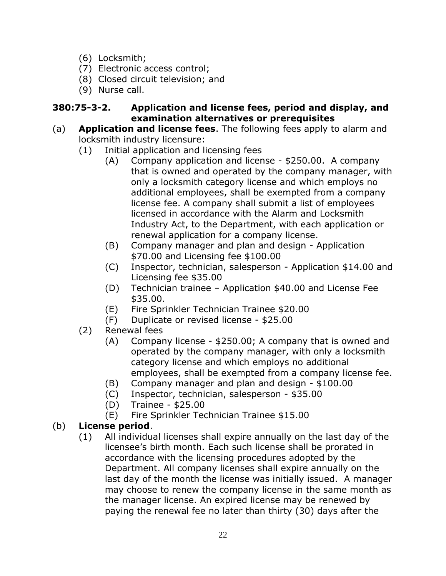- (6) Locksmith;
- (7) Electronic access control;
- (8) Closed circuit television; and
- (9) Nurse call.

#### <span id="page-24-0"></span>**380:75-3-2. Application and license fees, period and display, and examination alternatives or prerequisites**

- (a) **Application and license fees**. The following fees apply to alarm and locksmith industry licensure:
	- (1) Initial application and licensing fees
		- (A) Company application and license \$250.00. A company that is owned and operated by the company manager, with only a locksmith category license and which employs no additional employees, shall be exempted from a company license fee. A company shall submit a list of employees licensed in accordance with the Alarm and Locksmith Industry Act, to the Department, with each application or renewal application for a company license.
		- (B) Company manager and plan and design Application \$70.00 and Licensing fee \$100.00
		- (C) Inspector, technician, salesperson Application \$14.00 and Licensing fee \$35.00
		- (D) Technician trainee Application \$40.00 and License Fee \$35.00.
		- (E) Fire Sprinkler Technician Trainee \$20.00
		- (F) Duplicate or revised license \$25.00
	- (2) Renewal fees
		- (A) Company license \$250.00; A company that is owned and operated by the company manager, with only a locksmith category license and which employs no additional employees, shall be exempted from a company license fee.
		- (B) Company manager and plan and design \$100.00
		- (C) Inspector, technician, salesperson \$35.00
		- (D) Trainee \$25.00
		- (E) Fire Sprinkler Technician Trainee \$15.00

## (b) **License period**.

(1) All individual licenses shall expire annually on the last day of the licensee's birth month. Each such license shall be prorated in accordance with the licensing procedures adopted by the Department. All company licenses shall expire annually on the last day of the month the license was initially issued. A manager may choose to renew the company license in the same month as the manager license. An expired license may be renewed by paying the renewal fee no later than thirty (30) days after the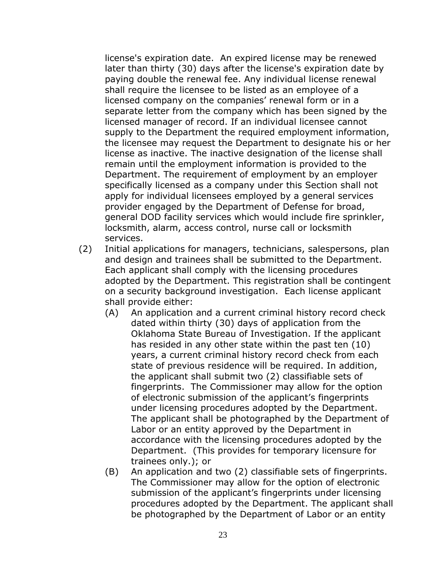license's expiration date. An expired license may be renewed later than thirty (30) days after the license's expiration date by paying double the renewal fee. Any individual license renewal shall require the licensee to be listed as an employee of a licensed company on the companies' renewal form or in a separate letter from the company which has been signed by the licensed manager of record. If an individual licensee cannot supply to the Department the required employment information, the licensee may request the Department to designate his or her license as inactive. The inactive designation of the license shall remain until the employment information is provided to the Department. The requirement of employment by an employer specifically licensed as a company under this Section shall not apply for individual licensees employed by a general services provider engaged by the Department of Defense for broad, general DOD facility services which would include fire sprinkler, locksmith, alarm, access control, nurse call or locksmith services.

- (2) Initial applications for managers, technicians, salespersons, plan and design and trainees shall be submitted to the Department. Each applicant shall comply with the licensing procedures adopted by the Department. This registration shall be contingent on a security background investigation. Each license applicant shall provide either:
	- (A) An application and a current criminal history record check dated within thirty (30) days of application from the Oklahoma State Bureau of Investigation. If the applicant has resided in any other state within the past ten (10) years, a current criminal history record check from each state of previous residence will be required. In addition, the applicant shall submit two (2) classifiable sets of fingerprints. The Commissioner may allow for the option of electronic submission of the applicant's fingerprints under licensing procedures adopted by the Department. The applicant shall be photographed by the Department of Labor or an entity approved by the Department in accordance with the licensing procedures adopted by the Department. (This provides for temporary licensure for trainees only.); or
	- (B) An application and two (2) classifiable sets of fingerprints. The Commissioner may allow for the option of electronic submission of the applicant's fingerprints under licensing procedures adopted by the Department. The applicant shall be photographed by the Department of Labor or an entity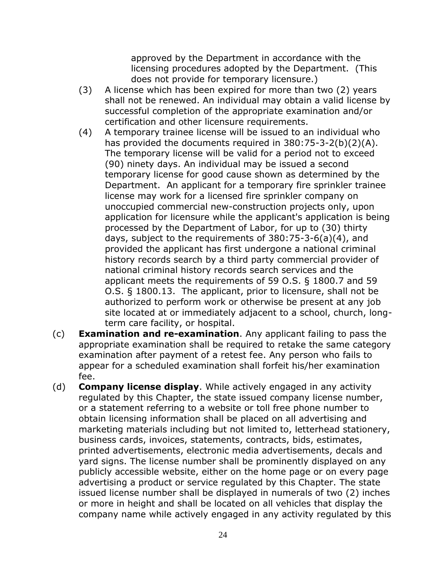approved by the Department in accordance with the licensing procedures adopted by the Department. (This does not provide for temporary licensure.)

- (3) A license which has been expired for more than two (2) years shall not be renewed. An individual may obtain a valid license by successful completion of the appropriate examination and/or certification and other licensure requirements.
- (4) A temporary trainee license will be issued to an individual who has provided the documents required in 380:75-3-2(b)(2)(A). The temporary license will be valid for a period not to exceed (90) ninety days. An individual may be issued a second temporary license for good cause shown as determined by the Department. An applicant for a temporary fire sprinkler trainee license may work for a licensed fire sprinkler company on unoccupied commercial new-construction projects only, upon application for licensure while the applicant's application is being processed by the Department of Labor, for up to (30) thirty days, subject to the requirements of 380:75-3-6(a)(4), and provided the applicant has first undergone a national criminal history records search by a third party commercial provider of national criminal history records search services and the applicant meets the requirements of 59 O.S. § 1800.7 and 59 O.S. § 1800.13. The applicant, prior to licensure, shall not be authorized to perform work or otherwise be present at any job site located at or immediately adjacent to a school, church, longterm care facility, or hospital.
- (c) **Examination and re-examination**. Any applicant failing to pass the appropriate examination shall be required to retake the same category examination after payment of a retest fee. Any person who fails to appear for a scheduled examination shall forfeit his/her examination fee.
- (d) **Company license display**. While actively engaged in any activity regulated by this Chapter, the state issued company license number, or a statement referring to a website or toll free phone number to obtain licensing information shall be placed on all advertising and marketing materials including but not limited to, letterhead stationery, business cards, invoices, statements, contracts, bids, estimates, printed advertisements, electronic media advertisements, decals and yard signs. The license number shall be prominently displayed on any publicly accessible website, either on the home page or on every page advertising a product or service regulated by this Chapter. The state issued license number shall be displayed in numerals of two (2) inches or more in height and shall be located on all vehicles that display the company name while actively engaged in any activity regulated by this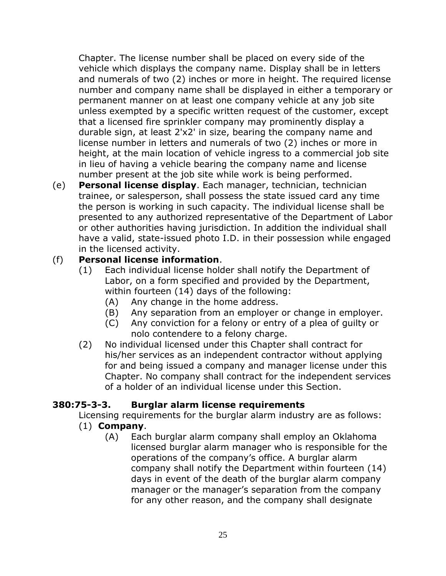Chapter. The license number shall be placed on every side of the vehicle which displays the company name. Display shall be in letters and numerals of two (2) inches or more in height. The required license number and company name shall be displayed in either a temporary or permanent manner on at least one company vehicle at any job site unless exempted by a specific written request of the customer, except that a licensed fire sprinkler company may prominently display a durable sign, at least 2'x2' in size, bearing the company name and license number in letters and numerals of two (2) inches or more in height, at the main location of vehicle ingress to a commercial job site in lieu of having a vehicle bearing the company name and license number present at the job site while work is being performed.

(e) **Personal license display**. Each manager, technician, technician trainee, or salesperson, shall possess the state issued card any time the person is working in such capacity. The individual license shall be presented to any authorized representative of the Department of Labor or other authorities having jurisdiction. In addition the individual shall have a valid, state-issued photo I.D. in their possession while engaged in the licensed activity.

#### (f) **Personal license information**.

- (1) Each individual license holder shall notify the Department of Labor, on a form specified and provided by the Department, within fourteen (14) days of the following:
	- (A) Any change in the home address.
	- (B) Any separation from an employer or change in employer.
	- (C) Any conviction for a felony or entry of a plea of guilty or nolo contendere to a felony charge.
- (2) No individual licensed under this Chapter shall contract for his/her services as an independent contractor without applying for and being issued a company and manager license under this Chapter. No company shall contract for the independent services of a holder of an individual license under this Section.

#### <span id="page-27-0"></span>**380:75-3-3. Burglar alarm license requirements**

Licensing requirements for the burglar alarm industry are as follows:

#### (1) **Company**.

(A) Each burglar alarm company shall employ an Oklahoma licensed burglar alarm manager who is responsible for the operations of the company's office. A burglar alarm company shall notify the Department within fourteen (14) days in event of the death of the burglar alarm company manager or the manager's separation from the company for any other reason, and the company shall designate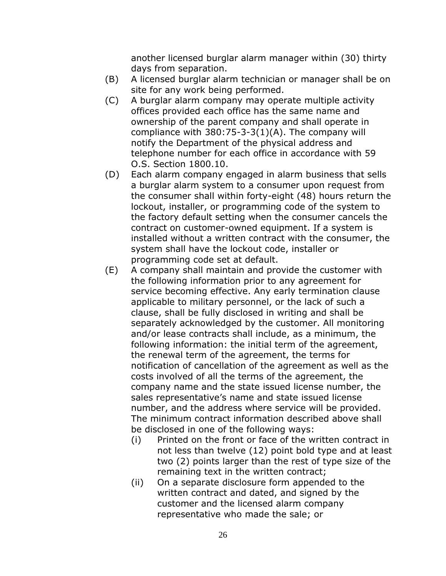another licensed burglar alarm manager within (30) thirty days from separation.

- (B) A licensed burglar alarm technician or manager shall be on site for any work being performed.
- (C) A burglar alarm company may operate multiple activity offices provided each office has the same name and ownership of the parent company and shall operate in compliance with 380:75-3-3(1)(A). The company will notify the Department of the physical address and telephone number for each office in accordance with 59 O.S. Section 1800.10.
- (D) Each alarm company engaged in alarm business that sells a burglar alarm system to a consumer upon request from the consumer shall within forty-eight (48) hours return the lockout, installer, or programming code of the system to the factory default setting when the consumer cancels the contract on customer-owned equipment. If a system is installed without a written contract with the consumer, the system shall have the lockout code, installer or programming code set at default.
- (E) A company shall maintain and provide the customer with the following information prior to any agreement for service becoming effective. Any early termination clause applicable to military personnel, or the lack of such a clause, shall be fully disclosed in writing and shall be separately acknowledged by the customer. All monitoring and/or lease contracts shall include, as a minimum, the following information: the initial term of the agreement, the renewal term of the agreement, the terms for notification of cancellation of the agreement as well as the costs involved of all the terms of the agreement, the company name and the state issued license number, the sales representative's name and state issued license number, and the address where service will be provided. The minimum contract information described above shall be disclosed in one of the following ways:
	- (i) Printed on the front or face of the written contract in not less than twelve (12) point bold type and at least two (2) points larger than the rest of type size of the remaining text in the written contract;
	- (ii) On a separate disclosure form appended to the written contract and dated, and signed by the customer and the licensed alarm company representative who made the sale; or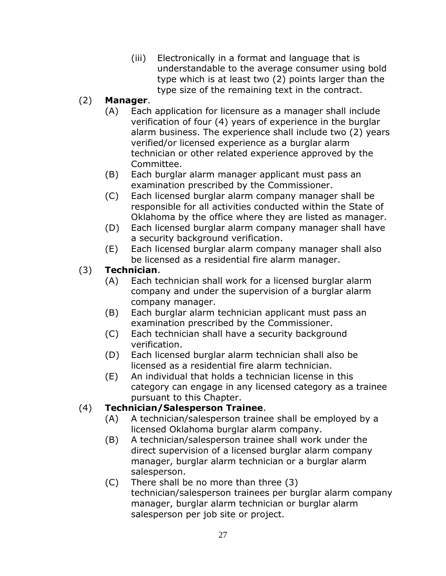(iii) Electronically in a format and language that is understandable to the average consumer using bold type which is at least two (2) points larger than the type size of the remaining text in the contract.

#### (2) **Manager**.

- (A) Each application for licensure as a manager shall include verification of four (4) years of experience in the burglar alarm business. The experience shall include two (2) years verified/or licensed experience as a burglar alarm technician or other related experience approved by the Committee.
- (B) Each burglar alarm manager applicant must pass an examination prescribed by the Commissioner.
- (C) Each licensed burglar alarm company manager shall be responsible for all activities conducted within the State of Oklahoma by the office where they are listed as manager.
- (D) Each licensed burglar alarm company manager shall have a security background verification.
- (E) Each licensed burglar alarm company manager shall also be licensed as a residential fire alarm manager.

#### (3) **Technician**.

- (A) Each technician shall work for a licensed burglar alarm company and under the supervision of a burglar alarm company manager.
- (B) Each burglar alarm technician applicant must pass an examination prescribed by the Commissioner.
- (C) Each technician shall have a security background verification.
- (D) Each licensed burglar alarm technician shall also be licensed as a residential fire alarm technician.
- (E) An individual that holds a technician license in this category can engage in any licensed category as a trainee pursuant to this Chapter.

## (4) **Technician/Salesperson Trainee**.

- (A) A technician/salesperson trainee shall be employed by a licensed Oklahoma burglar alarm company.
- (B) A technician/salesperson trainee shall work under the direct supervision of a licensed burglar alarm company manager, burglar alarm technician or a burglar alarm salesperson.
- (C) There shall be no more than three (3) technician/salesperson trainees per burglar alarm company manager, burglar alarm technician or burglar alarm salesperson per job site or project.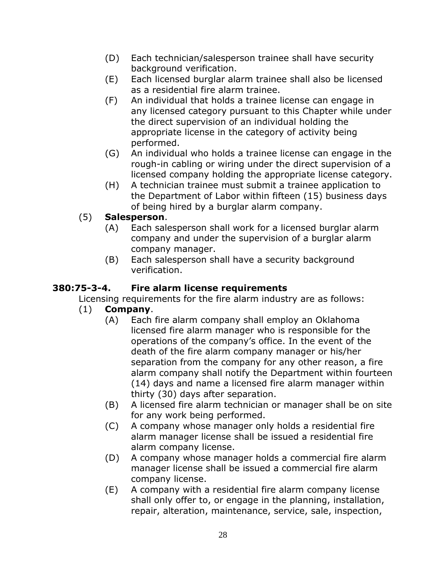- (D) Each technician/salesperson trainee shall have security background verification.
- (E) Each licensed burglar alarm trainee shall also be licensed as a residential fire alarm trainee.
- (F) An individual that holds a trainee license can engage in any licensed category pursuant to this Chapter while under the direct supervision of an individual holding the appropriate license in the category of activity being performed.
- (G) An individual who holds a trainee license can engage in the rough-in cabling or wiring under the direct supervision of a licensed company holding the appropriate license category.
- (H) A technician trainee must submit a trainee application to the Department of Labor within fifteen (15) business days of being hired by a burglar alarm company.
- (5) **Salesperson**.
	- (A) Each salesperson shall work for a licensed burglar alarm company and under the supervision of a burglar alarm company manager.
	- (B) Each salesperson shall have a security background verification.

## <span id="page-30-0"></span>**380:75-3-4. Fire alarm license requirements**

Licensing requirements for the fire alarm industry are as follows:

#### (1) **Company**.

- (A) Each fire alarm company shall employ an Oklahoma licensed fire alarm manager who is responsible for the operations of the company's office. In the event of the death of the fire alarm company manager or his/her separation from the company for any other reason, a fire alarm company shall notify the Department within fourteen (14) days and name a licensed fire alarm manager within thirty (30) days after separation.
- (B) A licensed fire alarm technician or manager shall be on site for any work being performed.
- (C) A company whose manager only holds a residential fire alarm manager license shall be issued a residential fire alarm company license.
- (D) A company whose manager holds a commercial fire alarm manager license shall be issued a commercial fire alarm company license.
- (E) A company with a residential fire alarm company license shall only offer to, or engage in the planning, installation, repair, alteration, maintenance, service, sale, inspection,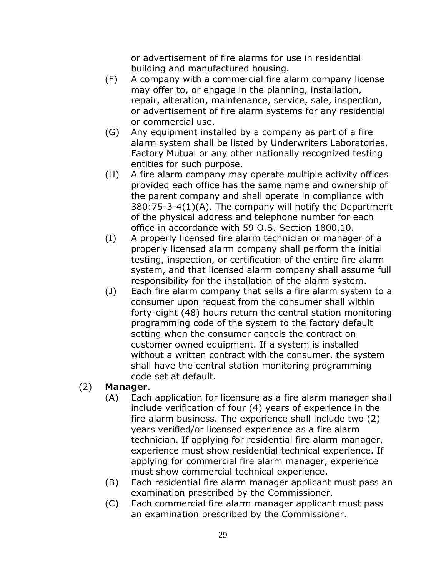or advertisement of fire alarms for use in residential building and manufactured housing.

- (F) A company with a commercial fire alarm company license may offer to, or engage in the planning, installation, repair, alteration, maintenance, service, sale, inspection, or advertisement of fire alarm systems for any residential or commercial use.
- (G) Any equipment installed by a company as part of a fire alarm system shall be listed by Underwriters Laboratories, Factory Mutual or any other nationally recognized testing entities for such purpose.
- (H) A fire alarm company may operate multiple activity offices provided each office has the same name and ownership of the parent company and shall operate in compliance with 380:75-3-4(1)(A). The company will notify the Department of the physical address and telephone number for each office in accordance with 59 O.S. Section 1800.10.
- (I) A properly licensed fire alarm technician or manager of a properly licensed alarm company shall perform the initial testing, inspection, or certification of the entire fire alarm system, and that licensed alarm company shall assume full responsibility for the installation of the alarm system.
- (J) Each fire alarm company that sells a fire alarm system to a consumer upon request from the consumer shall within forty-eight (48) hours return the central station monitoring programming code of the system to the factory default setting when the consumer cancels the contract on customer owned equipment. If a system is installed without a written contract with the consumer, the system shall have the central station monitoring programming code set at default.

#### (2) **Manager**.

- (A) Each application for licensure as a fire alarm manager shall include verification of four (4) years of experience in the fire alarm business. The experience shall include two (2) years verified/or licensed experience as a fire alarm technician. If applying for residential fire alarm manager, experience must show residential technical experience. If applying for commercial fire alarm manager, experience must show commercial technical experience.
- (B) Each residential fire alarm manager applicant must pass an examination prescribed by the Commissioner.
- (C) Each commercial fire alarm manager applicant must pass an examination prescribed by the Commissioner.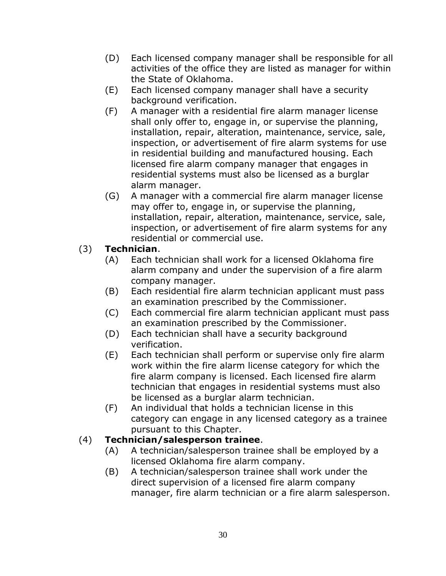- (D) Each licensed company manager shall be responsible for all activities of the office they are listed as manager for within the State of Oklahoma.
- (E) Each licensed company manager shall have a security background verification.
- (F) A manager with a residential fire alarm manager license shall only offer to, engage in, or supervise the planning, installation, repair, alteration, maintenance, service, sale, inspection, or advertisement of fire alarm systems for use in residential building and manufactured housing. Each licensed fire alarm company manager that engages in residential systems must also be licensed as a burglar alarm manager.
- (G) A manager with a commercial fire alarm manager license may offer to, engage in, or supervise the planning, installation, repair, alteration, maintenance, service, sale, inspection, or advertisement of fire alarm systems for any residential or commercial use.

#### (3) **Technician**.

- (A) Each technician shall work for a licensed Oklahoma fire alarm company and under the supervision of a fire alarm company manager.
- (B) Each residential fire alarm technician applicant must pass an examination prescribed by the Commissioner.
- (C) Each commercial fire alarm technician applicant must pass an examination prescribed by the Commissioner.
- (D) Each technician shall have a security background verification.
- (E) Each technician shall perform or supervise only fire alarm work within the fire alarm license category for which the fire alarm company is licensed. Each licensed fire alarm technician that engages in residential systems must also be licensed as a burglar alarm technician.
- (F) An individual that holds a technician license in this category can engage in any licensed category as a trainee pursuant to this Chapter.

#### (4) **Technician/salesperson trainee**.

- (A) A technician/salesperson trainee shall be employed by a licensed Oklahoma fire alarm company.
- (B) A technician/salesperson trainee shall work under the direct supervision of a licensed fire alarm company manager, fire alarm technician or a fire alarm salesperson.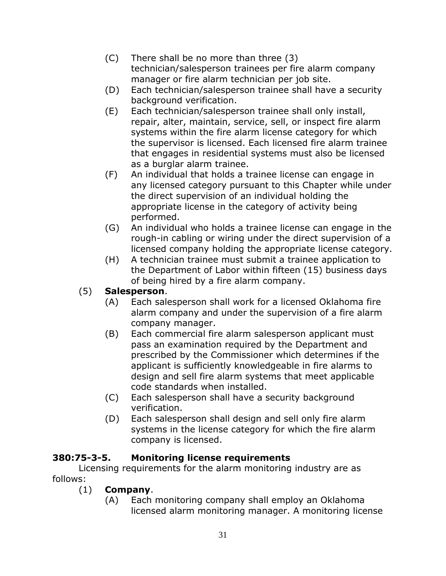- (C) There shall be no more than three (3) technician/salesperson trainees per fire alarm company manager or fire alarm technician per job site.
- (D) Each technician/salesperson trainee shall have a security background verification.
- (E) Each technician/salesperson trainee shall only install, repair, alter, maintain, service, sell, or inspect fire alarm systems within the fire alarm license category for which the supervisor is licensed. Each licensed fire alarm trainee that engages in residential systems must also be licensed as a burglar alarm trainee.
- (F) An individual that holds a trainee license can engage in any licensed category pursuant to this Chapter while under the direct supervision of an individual holding the appropriate license in the category of activity being performed.
- (G) An individual who holds a trainee license can engage in the rough-in cabling or wiring under the direct supervision of a licensed company holding the appropriate license category.
- (H) A technician trainee must submit a trainee application to the Department of Labor within fifteen (15) business days of being hired by a fire alarm company.

## (5) **Salesperson**.

- (A) Each salesperson shall work for a licensed Oklahoma fire alarm company and under the supervision of a fire alarm company manager.
- (B) Each commercial fire alarm salesperson applicant must pass an examination required by the Department and prescribed by the Commissioner which determines if the applicant is sufficiently knowledgeable in fire alarms to design and sell fire alarm systems that meet applicable code standards when installed.
- (C) Each salesperson shall have a security background verification.
- (D) Each salesperson shall design and sell only fire alarm systems in the license category for which the fire alarm company is licensed.

## <span id="page-33-0"></span>**380:75-3-5. Monitoring license requirements**

Licensing requirements for the alarm monitoring industry are as follows:

#### (1) **Company**.

(A) Each monitoring company shall employ an Oklahoma licensed alarm monitoring manager. A monitoring license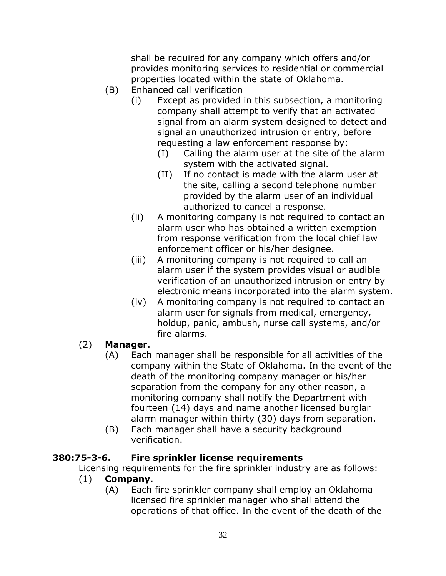shall be required for any company which offers and/or provides monitoring services to residential or commercial properties located within the state of Oklahoma.

- (B) Enhanced call verification
	- (i) Except as provided in this subsection, a monitoring company shall attempt to verify that an activated signal from an alarm system designed to detect and signal an unauthorized intrusion or entry, before requesting a law enforcement response by:
		- (I) Calling the alarm user at the site of the alarm system with the activated signal.
		- (II) If no contact is made with the alarm user at the site, calling a second telephone number provided by the alarm user of an individual authorized to cancel a response.
	- (ii) A monitoring company is not required to contact an alarm user who has obtained a written exemption from response verification from the local chief law enforcement officer or his/her designee.
	- (iii) A monitoring company is not required to call an alarm user if the system provides visual or audible verification of an unauthorized intrusion or entry by electronic means incorporated into the alarm system.
	- (iv) A monitoring company is not required to contact an alarm user for signals from medical, emergency, holdup, panic, ambush, nurse call systems, and/or fire alarms.

## (2) **Manager**.

- (A) Each manager shall be responsible for all activities of the company within the State of Oklahoma. In the event of the death of the monitoring company manager or his/her separation from the company for any other reason, a monitoring company shall notify the Department with fourteen (14) days and name another licensed burglar alarm manager within thirty (30) days from separation.
- (B) Each manager shall have a security background verification.

#### <span id="page-34-0"></span>**380:75-3-6. Fire sprinkler license requirements**

Licensing requirements for the fire sprinkler industry are as follows:

#### (1) **Company**.

(A) Each fire sprinkler company shall employ an Oklahoma licensed fire sprinkler manager who shall attend the operations of that office. In the event of the death of the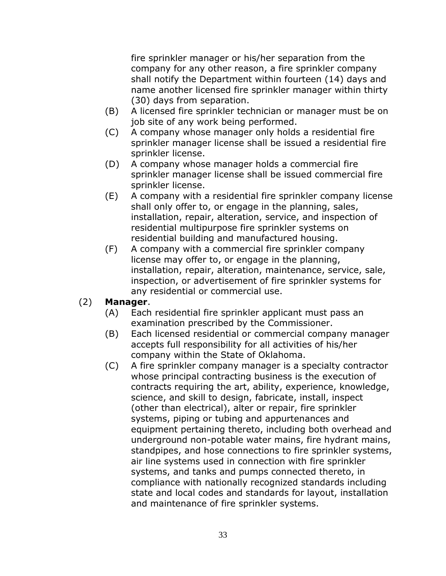fire sprinkler manager or his/her separation from the company for any other reason, a fire sprinkler company shall notify the Department within fourteen (14) days and name another licensed fire sprinkler manager within thirty (30) days from separation.

- (B) A licensed fire sprinkler technician or manager must be on job site of any work being performed.
- (C) A company whose manager only holds a residential fire sprinkler manager license shall be issued a residential fire sprinkler license.
- (D) A company whose manager holds a commercial fire sprinkler manager license shall be issued commercial fire sprinkler license.
- (E) A company with a residential fire sprinkler company license shall only offer to, or engage in the planning, sales, installation, repair, alteration, service, and inspection of residential multipurpose fire sprinkler systems on residential building and manufactured housing.
- (F) A company with a commercial fire sprinkler company license may offer to, or engage in the planning, installation, repair, alteration, maintenance, service, sale, inspection, or advertisement of fire sprinkler systems for any residential or commercial use.

#### (2) **Manager**.

- (A) Each residential fire sprinkler applicant must pass an examination prescribed by the Commissioner.
- (B) Each licensed residential or commercial company manager accepts full responsibility for all activities of his/her company within the State of Oklahoma.
- (C) A fire sprinkler company manager is a specialty contractor whose principal contracting business is the execution of contracts requiring the art, ability, experience, knowledge, science, and skill to design, fabricate, install, inspect (other than electrical), alter or repair, fire sprinkler systems, piping or tubing and appurtenances and equipment pertaining thereto, including both overhead and underground non-potable water mains, fire hydrant mains, standpipes, and hose connections to fire sprinkler systems, air line systems used in connection with fire sprinkler systems, and tanks and pumps connected thereto, in compliance with nationally recognized standards including state and local codes and standards for layout, installation and maintenance of fire sprinkler systems.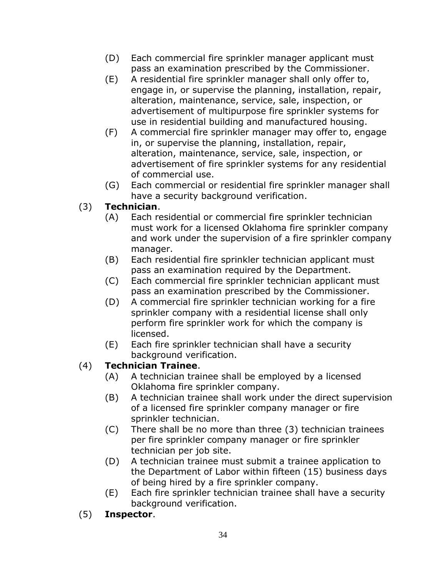- (D) Each commercial fire sprinkler manager applicant must pass an examination prescribed by the Commissioner.
- (E) A residential fire sprinkler manager shall only offer to, engage in, or supervise the planning, installation, repair, alteration, maintenance, service, sale, inspection, or advertisement of multipurpose fire sprinkler systems for use in residential building and manufactured housing.
- (F) A commercial fire sprinkler manager may offer to, engage in, or supervise the planning, installation, repair, alteration, maintenance, service, sale, inspection, or advertisement of fire sprinkler systems for any residential of commercial use.
- (G) Each commercial or residential fire sprinkler manager shall have a security background verification.

#### (3) **Technician**.

- (A) Each residential or commercial fire sprinkler technician must work for a licensed Oklahoma fire sprinkler company and work under the supervision of a fire sprinkler company manager.
- (B) Each residential fire sprinkler technician applicant must pass an examination required by the Department.
- (C) Each commercial fire sprinkler technician applicant must pass an examination prescribed by the Commissioner.
- (D) A commercial fire sprinkler technician working for a fire sprinkler company with a residential license shall only perform fire sprinkler work for which the company is licensed.
- (E) Each fire sprinkler technician shall have a security background verification.

## (4) **Technician Trainee**.

- (A) A technician trainee shall be employed by a licensed Oklahoma fire sprinkler company.
- (B) A technician trainee shall work under the direct supervision of a licensed fire sprinkler company manager or fire sprinkler technician.
- (C) There shall be no more than three (3) technician trainees per fire sprinkler company manager or fire sprinkler technician per job site.
- (D) A technician trainee must submit a trainee application to the Department of Labor within fifteen (15) business days of being hired by a fire sprinkler company.
- (E) Each fire sprinkler technician trainee shall have a security background verification.
- (5) **Inspector**.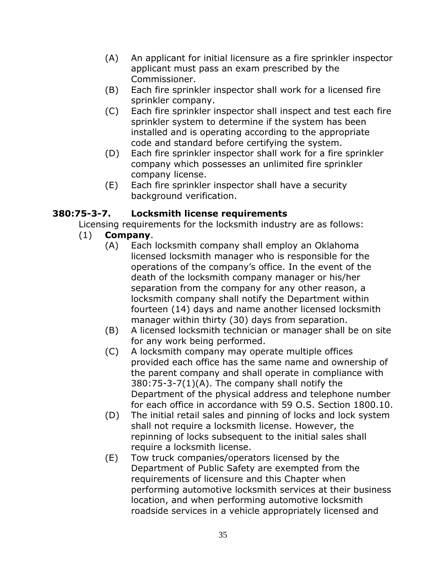- (A) An applicant for initial licensure as a fire sprinkler inspector applicant must pass an exam prescribed by the Commissioner.
- (B) Each fire sprinkler inspector shall work for a licensed fire sprinkler company.
- (C) Each fire sprinkler inspector shall inspect and test each fire sprinkler system to determine if the system has been installed and is operating according to the appropriate code and standard before certifying the system.
- (D) Each fire sprinkler inspector shall work for a fire sprinkler company which possesses an unlimited fire sprinkler company license.
- (E) Each fire sprinkler inspector shall have a security background verification.

#### <span id="page-37-0"></span>**380:75-3-7. Locksmith license requirements**

Licensing requirements for the locksmith industry are as follows:

#### (1) **Company**.

- (A) Each locksmith company shall employ an Oklahoma licensed locksmith manager who is responsible for the operations of the company's office. In the event of the death of the locksmith company manager or his/her separation from the company for any other reason, a locksmith company shall notify the Department within fourteen (14) days and name another licensed locksmith manager within thirty (30) days from separation.
- (B) A licensed locksmith technician or manager shall be on site for any work being performed.
- (C) A locksmith company may operate multiple offices provided each office has the same name and ownership of the parent company and shall operate in compliance with 380:75-3-7(1)(A). The company shall notify the Department of the physical address and telephone number for each office in accordance with 59 O.S. Section 1800.10.
- (D) The initial retail sales and pinning of locks and lock system shall not require a locksmith license. However, the repinning of locks subsequent to the initial sales shall require a locksmith license.
- (E) Tow truck companies/operators licensed by the Department of Public Safety are exempted from the requirements of licensure and this Chapter when performing automotive locksmith services at their business location, and when performing automotive locksmith roadside services in a vehicle appropriately licensed and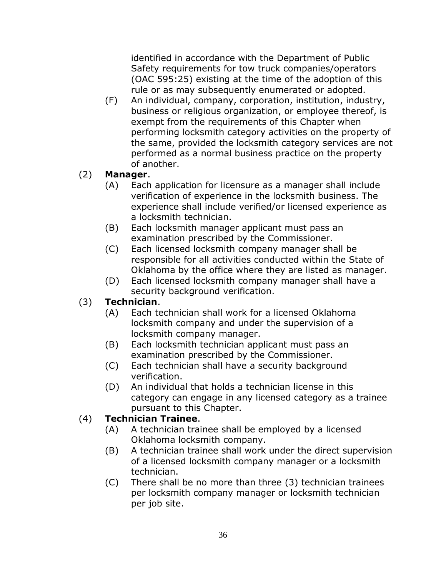identified in accordance with the Department of Public Safety requirements for tow truck companies/operators (OAC 595:25) existing at the time of the adoption of this rule or as may subsequently enumerated or adopted.

(F) An individual, company, corporation, institution, industry, business or religious organization, or employee thereof, is exempt from the requirements of this Chapter when performing locksmith category activities on the property of the same, provided the locksmith category services are not performed as a normal business practice on the property of another.

#### (2) **Manager**.

- (A) Each application for licensure as a manager shall include verification of experience in the locksmith business. The experience shall include verified/or licensed experience as a locksmith technician.
- (B) Each locksmith manager applicant must pass an examination prescribed by the Commissioner.
- (C) Each licensed locksmith company manager shall be responsible for all activities conducted within the State of Oklahoma by the office where they are listed as manager.
- (D) Each licensed locksmith company manager shall have a security background verification.

#### (3) **Technician**.

- (A) Each technician shall work for a licensed Oklahoma locksmith company and under the supervision of a locksmith company manager.
- (B) Each locksmith technician applicant must pass an examination prescribed by the Commissioner.
- (C) Each technician shall have a security background verification.
- (D) An individual that holds a technician license in this category can engage in any licensed category as a trainee pursuant to this Chapter.

#### (4) **Technician Trainee**.

- (A) A technician trainee shall be employed by a licensed Oklahoma locksmith company.
- (B) A technician trainee shall work under the direct supervision of a licensed locksmith company manager or a locksmith technician.
- (C) There shall be no more than three (3) technician trainees per locksmith company manager or locksmith technician per job site.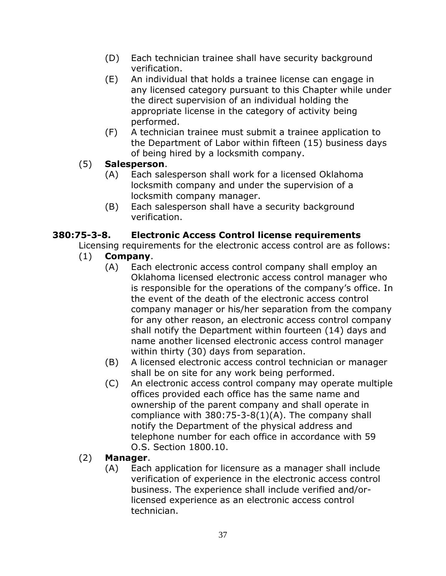- (D) Each technician trainee shall have security background verification.
- (E) An individual that holds a trainee license can engage in any licensed category pursuant to this Chapter while under the direct supervision of an individual holding the appropriate license in the category of activity being performed.
- (F) A technician trainee must submit a trainee application to the Department of Labor within fifteen (15) business days of being hired by a locksmith company.
- (5) **Salesperson**.
	- (A) Each salesperson shall work for a licensed Oklahoma locksmith company and under the supervision of a locksmith company manager.
	- (B) Each salesperson shall have a security background verification.

## <span id="page-39-0"></span>**380:75-3-8. Electronic Access Control license requirements**

Licensing requirements for the electronic access control are as follows:

- (1) **Company**.
	- (A) Each electronic access control company shall employ an Oklahoma licensed electronic access control manager who is responsible for the operations of the company's office. In the event of the death of the electronic access control company manager or his/her separation from the company for any other reason, an electronic access control company shall notify the Department within fourteen (14) days and name another licensed electronic access control manager within thirty (30) days from separation.
	- (B) A licensed electronic access control technician or manager shall be on site for any work being performed.
	- (C) An electronic access control company may operate multiple offices provided each office has the same name and ownership of the parent company and shall operate in compliance with 380:75-3-8(1)(A). The company shall notify the Department of the physical address and telephone number for each office in accordance with 59 O.S. Section 1800.10.

## (2) **Manager**.

(A) Each application for licensure as a manager shall include verification of experience in the electronic access control business. The experience shall include verified and/orlicensed experience as an electronic access control technician.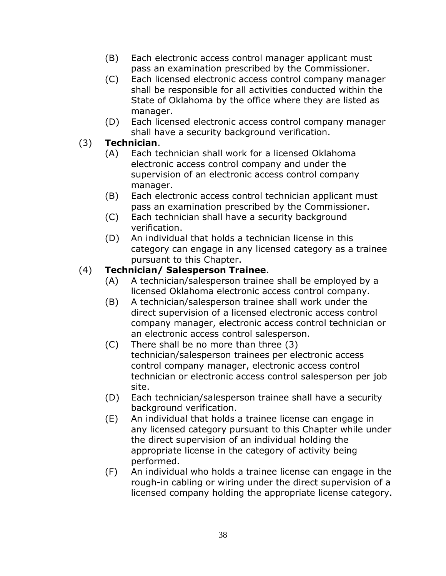- (B) Each electronic access control manager applicant must pass an examination prescribed by the Commissioner.
- (C) Each licensed electronic access control company manager shall be responsible for all activities conducted within the State of Oklahoma by the office where they are listed as manager.
- (D) Each licensed electronic access control company manager shall have a security background verification.

#### (3) **Technician**.

- (A) Each technician shall work for a licensed Oklahoma electronic access control company and under the supervision of an electronic access control company manager.
- (B) Each electronic access control technician applicant must pass an examination prescribed by the Commissioner.
- (C) Each technician shall have a security background verification.
- (D) An individual that holds a technician license in this category can engage in any licensed category as a trainee pursuant to this Chapter.

#### (4) **Technician/ Salesperson Trainee**.

- (A) A technician/salesperson trainee shall be employed by a licensed Oklahoma electronic access control company.
- (B) A technician/salesperson trainee shall work under the direct supervision of a licensed electronic access control company manager, electronic access control technician or an electronic access control salesperson.
- (C) There shall be no more than three (3) technician/salesperson trainees per electronic access control company manager, electronic access control technician or electronic access control salesperson per job site.
- (D) Each technician/salesperson trainee shall have a security background verification.
- (E) An individual that holds a trainee license can engage in any licensed category pursuant to this Chapter while under the direct supervision of an individual holding the appropriate license in the category of activity being performed.
- (F) An individual who holds a trainee license can engage in the rough-in cabling or wiring under the direct supervision of a licensed company holding the appropriate license category.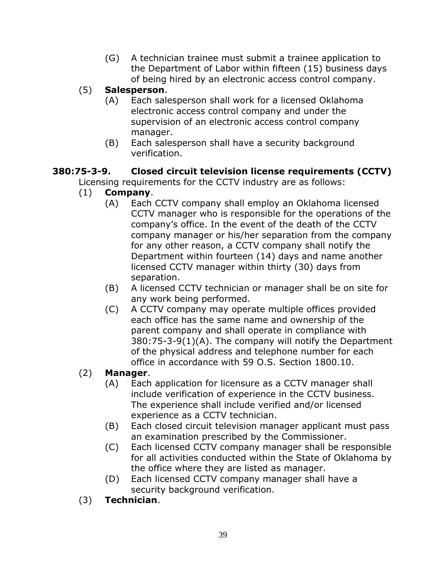- (G) A technician trainee must submit a trainee application to the Department of Labor within fifteen (15) business days of being hired by an electronic access control company.
- (5) **Salesperson**.
	- (A) Each salesperson shall work for a licensed Oklahoma electronic access control company and under the supervision of an electronic access control company manager.
	- (B) Each salesperson shall have a security background verification.

## <span id="page-41-0"></span>**380:75-3-9. Closed circuit television license requirements (CCTV)**

Licensing requirements for the CCTV industry are as follows:

- (1) **Company**.
	- (A) Each CCTV company shall employ an Oklahoma licensed CCTV manager who is responsible for the operations of the company's office. In the event of the death of the CCTV company manager or his/her separation from the company for any other reason, a CCTV company shall notify the Department within fourteen (14) days and name another licensed CCTV manager within thirty (30) days from separation.
	- (B) A licensed CCTV technician or manager shall be on site for any work being performed.
	- (C) A CCTV company may operate multiple offices provided each office has the same name and ownership of the parent company and shall operate in compliance with 380:75-3-9(1)(A). The company will notify the Department of the physical address and telephone number for each office in accordance with 59 O.S. Section 1800.10.

#### (2) **Manager**.

- (A) Each application for licensure as a CCTV manager shall include verification of experience in the CCTV business. The experience shall include verified and/or licensed experience as a CCTV technician.
- (B) Each closed circuit television manager applicant must pass an examination prescribed by the Commissioner.
- (C) Each licensed CCTV company manager shall be responsible for all activities conducted within the State of Oklahoma by the office where they are listed as manager.
- (D) Each licensed CCTV company manager shall have a security background verification.
- (3) **Technician**.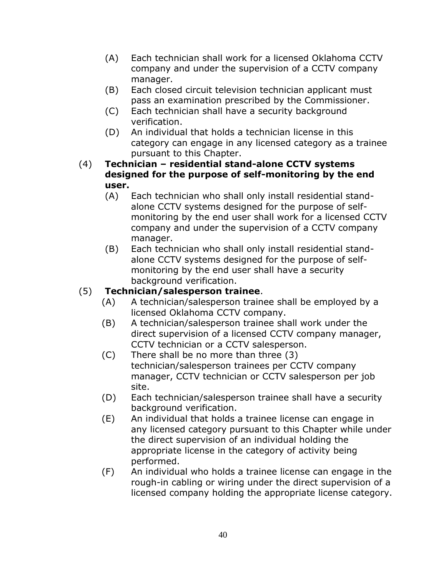- (A) Each technician shall work for a licensed Oklahoma CCTV company and under the supervision of a CCTV company manager.
- (B) Each closed circuit television technician applicant must pass an examination prescribed by the Commissioner.
- (C) Each technician shall have a security background verification.
- (D) An individual that holds a technician license in this category can engage in any licensed category as a trainee pursuant to this Chapter.
- (4) **Technician – residential stand-alone CCTV systems designed for the purpose of self-monitoring by the end user.**
	- (A) Each technician who shall only install residential standalone CCTV systems designed for the purpose of selfmonitoring by the end user shall work for a licensed CCTV company and under the supervision of a CCTV company manager.
	- (B) Each technician who shall only install residential standalone CCTV systems designed for the purpose of selfmonitoring by the end user shall have a security background verification.

## (5) **Technician/salesperson trainee**.

- (A) A technician/salesperson trainee shall be employed by a licensed Oklahoma CCTV company.
- (B) A technician/salesperson trainee shall work under the direct supervision of a licensed CCTV company manager, CCTV technician or a CCTV salesperson.
- (C) There shall be no more than three (3) technician/salesperson trainees per CCTV company manager, CCTV technician or CCTV salesperson per job site.
- (D) Each technician/salesperson trainee shall have a security background verification.
- (E) An individual that holds a trainee license can engage in any licensed category pursuant to this Chapter while under the direct supervision of an individual holding the appropriate license in the category of activity being performed.
- (F) An individual who holds a trainee license can engage in the rough-in cabling or wiring under the direct supervision of a licensed company holding the appropriate license category.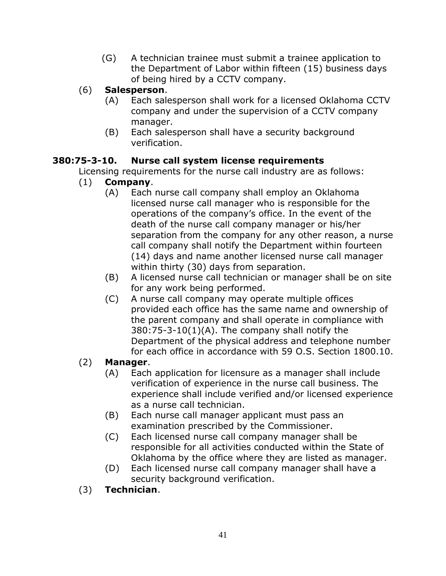- (G) A technician trainee must submit a trainee application to the Department of Labor within fifteen (15) business days of being hired by a CCTV company.
- (6) **Salesperson**.
	- (A) Each salesperson shall work for a licensed Oklahoma CCTV company and under the supervision of a CCTV company manager.
	- (B) Each salesperson shall have a security background verification.

#### <span id="page-43-0"></span>**380:75-3-10. Nurse call system license requirements**

Licensing requirements for the nurse call industry are as follows:

- (1) **Company**.
	- (A) Each nurse call company shall employ an Oklahoma licensed nurse call manager who is responsible for the operations of the company's office. In the event of the death of the nurse call company manager or his/her separation from the company for any other reason, a nurse call company shall notify the Department within fourteen (14) days and name another licensed nurse call manager within thirty (30) days from separation.
	- (B) A licensed nurse call technician or manager shall be on site for any work being performed.
	- (C) A nurse call company may operate multiple offices provided each office has the same name and ownership of the parent company and shall operate in compliance with  $380:75-3-10(1)(A)$ . The company shall notify the Department of the physical address and telephone number for each office in accordance with 59 O.S. Section 1800.10.

## (2) **Manager**.

- (A) Each application for licensure as a manager shall include verification of experience in the nurse call business. The experience shall include verified and/or licensed experience as a nurse call technician.
- (B) Each nurse call manager applicant must pass an examination prescribed by the Commissioner.
- (C) Each licensed nurse call company manager shall be responsible for all activities conducted within the State of Oklahoma by the office where they are listed as manager.
- (D) Each licensed nurse call company manager shall have a security background verification.
- (3) **Technician**.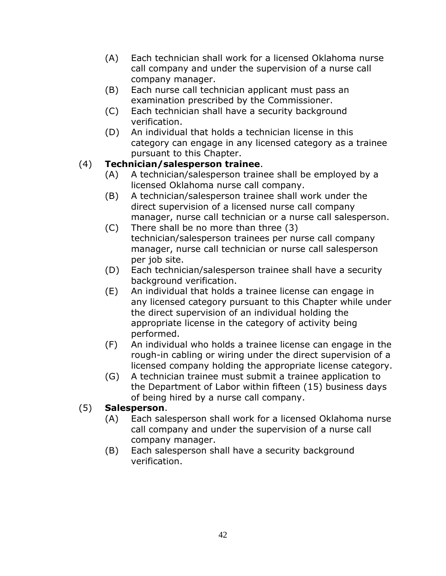- (A) Each technician shall work for a licensed Oklahoma nurse call company and under the supervision of a nurse call company manager.
- (B) Each nurse call technician applicant must pass an examination prescribed by the Commissioner.
- (C) Each technician shall have a security background verification.
- (D) An individual that holds a technician license in this category can engage in any licensed category as a trainee pursuant to this Chapter.

#### (4) **Technician/salesperson trainee**.

- (A) A technician/salesperson trainee shall be employed by a licensed Oklahoma nurse call company.
- (B) A technician/salesperson trainee shall work under the direct supervision of a licensed nurse call company manager, nurse call technician or a nurse call salesperson.
- (C) There shall be no more than three (3) technician/salesperson trainees per nurse call company manager, nurse call technician or nurse call salesperson per job site.
- (D) Each technician/salesperson trainee shall have a security background verification.
- (E) An individual that holds a trainee license can engage in any licensed category pursuant to this Chapter while under the direct supervision of an individual holding the appropriate license in the category of activity being performed.
- (F) An individual who holds a trainee license can engage in the rough-in cabling or wiring under the direct supervision of a licensed company holding the appropriate license category.
- (G) A technician trainee must submit a trainee application to the Department of Labor within fifteen (15) business days of being hired by a nurse call company.
- (5) **Salesperson**.
	- (A) Each salesperson shall work for a licensed Oklahoma nurse call company and under the supervision of a nurse call company manager.
	- (B) Each salesperson shall have a security background verification.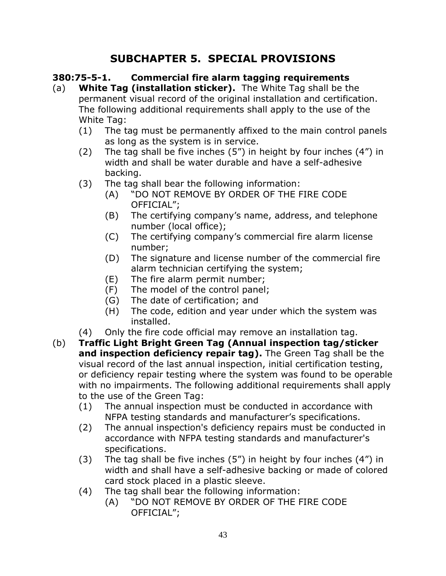## **SUBCHAPTER 5. SPECIAL PROVISIONS**

#### <span id="page-45-1"></span><span id="page-45-0"></span>**380:75-5-1. Commercial fire alarm tagging requirements**

- (a) **White Tag (installation sticker).** The White Tag shall be the permanent visual record of the original installation and certification. The following additional requirements shall apply to the use of the White Tag:
	- (1) The tag must be permanently affixed to the main control panels as long as the system is in service.
	- (2) The tag shall be five inches (5") in height by four inches (4") in width and shall be water durable and have a self-adhesive backing.
	- (3) The tag shall bear the following information:
		- (A) "DO NOT REMOVE BY ORDER OF THE FIRE CODE OFFICIAL";
		- (B) The certifying company's name, address, and telephone number (local office);
		- (C) The certifying company's commercial fire alarm license number;
		- (D) The signature and license number of the commercial fire alarm technician certifying the system;
		- (E) The fire alarm permit number;
		- (F) The model of the control panel;
		- (G) The date of certification; and
		- (H) The code, edition and year under which the system was installed.
	- (4) Only the fire code official may remove an installation tag.
- (b) **Traffic Light Bright Green Tag (Annual inspection tag/sticker and inspection deficiency repair tag).** The Green Tag shall be the visual record of the last annual inspection, initial certification testing, or deficiency repair testing where the system was found to be operable with no impairments. The following additional requirements shall apply to the use of the Green Tag:
	- (1) The annual inspection must be conducted in accordance with NFPA testing standards and manufacturer's specifications.
	- (2) The annual inspection's deficiency repairs must be conducted in accordance with NFPA testing standards and manufacturer's specifications.
	- (3) The tag shall be five inches (5") in height by four inches (4") in width and shall have a self-adhesive backing or made of colored card stock placed in a plastic sleeve.
	- (4) The tag shall bear the following information:
		- (A) "DO NOT REMOVE BY ORDER OF THE FIRE CODE OFFICIAL";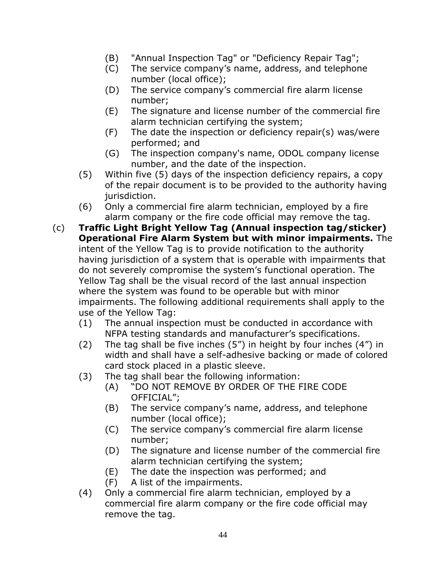- (B) "Annual Inspection Tag" or "Deficiency Repair Tag";
- (C) The service company's name, address, and telephone number (local office);
- (D) The service company's commercial fire alarm license number;
- (E) The signature and license number of the commercial fire alarm technician certifying the system;
- (F) The date the inspection or deficiency repair(s) was/were performed; and
- (G) The inspection company's name, ODOL company license number, and the date of the inspection.
- (5) Within five (5) days of the inspection deficiency repairs, a copy of the repair document is to be provided to the authority having jurisdiction.
- (6) Only a commercial fire alarm technician, employed by a fire alarm company or the fire code official may remove the tag.
- (c) **Traffic Light Bright Yellow Tag (Annual inspection tag/sticker) Operational Fire Alarm System but with minor impairments.** The intent of the Yellow Tag is to provide notification to the authority having jurisdiction of a system that is operable with impairments that do not severely compromise the system's functional operation. The Yellow Tag shall be the visual record of the last annual inspection where the system was found to be operable but with minor impairments. The following additional requirements shall apply to the use of the Yellow Tag:
	- (1) The annual inspection must be conducted in accordance with NFPA testing standards and manufacturer's specifications.
	- (2) The tag shall be five inches (5") in height by four inches (4") in width and shall have a self-adhesive backing or made of colored card stock placed in a plastic sleeve.
	- (3) The tag shall bear the following information:
		- (A) "DO NOT REMOVE BY ORDER OF THE FIRE CODE OFFICIAL";
		- (B) The service company's name, address, and telephone number (local office);
		- (C) The service company's commercial fire alarm license number;
		- (D) The signature and license number of the commercial fire alarm technician certifying the system;
		- (E) The date the inspection was performed; and
		- (F) A list of the impairments.
	- (4) Only a commercial fire alarm technician, employed by a commercial fire alarm company or the fire code official may remove the tag.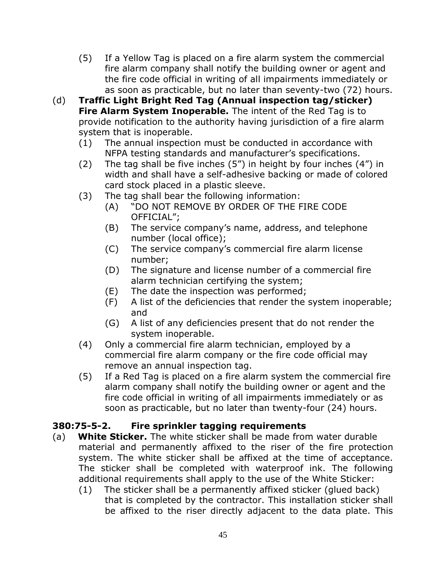- (5) If a Yellow Tag is placed on a fire alarm system the commercial fire alarm company shall notify the building owner or agent and the fire code official in writing of all impairments immediately or as soon as practicable, but no later than seventy-two (72) hours.
- (d) **Traffic Light Bright Red Tag (Annual inspection tag/sticker) Fire Alarm System Inoperable.** The intent of the Red Tag is to provide notification to the authority having jurisdiction of a fire alarm system that is inoperable.
	- (1) The annual inspection must be conducted in accordance with NFPA testing standards and manufacturer's specifications.
	- (2) The tag shall be five inches (5") in height by four inches (4") in width and shall have a self-adhesive backing or made of colored card stock placed in a plastic sleeve.
	- (3) The tag shall bear the following information:
		- (A) "DO NOT REMOVE BY ORDER OF THE FIRE CODE OFFICIAL";
		- (B) The service company's name, address, and telephone number (local office);
		- (C) The service company's commercial fire alarm license number;
		- (D) The signature and license number of a commercial fire alarm technician certifying the system;
		- (E) The date the inspection was performed;
		- (F) A list of the deficiencies that render the system inoperable; and
		- (G) A list of any deficiencies present that do not render the system inoperable.
	- (4) Only a commercial fire alarm technician, employed by a commercial fire alarm company or the fire code official may remove an annual inspection tag.
	- (5) If a Red Tag is placed on a fire alarm system the commercial fire alarm company shall notify the building owner or agent and the fire code official in writing of all impairments immediately or as soon as practicable, but no later than twenty-four (24) hours.

## <span id="page-47-0"></span>**380:75-5-2. Fire sprinkler tagging requirements**

- (a) **White Sticker.** The white sticker shall be made from water durable material and permanently affixed to the riser of the fire protection system. The white sticker shall be affixed at the time of acceptance. The sticker shall be completed with waterproof ink. The following additional requirements shall apply to the use of the White Sticker:
	- (1) The sticker shall be a permanently affixed sticker (glued back) that is completed by the contractor. This installation sticker shall be affixed to the riser directly adjacent to the data plate. This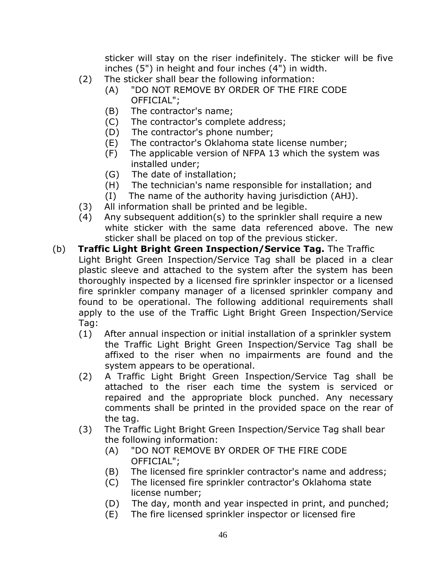sticker will stay on the riser indefinitely. The sticker will be five inches (5") in height and four inches (4") in width.

- (2) The sticker shall bear the following information:
	- (A) "DO NOT REMOVE BY ORDER OF THE FIRE CODE OFFICIAL";
	- (B) The contractor's name;
	- (C) The contractor's complete address;
	- (D) The contractor's phone number;
	- (E) The contractor's Oklahoma state license number;
	- (F) The applicable version of NFPA 13 which the system was installed under;
	- (G) The date of installation;
	- (H) The technician's name responsible for installation; and
	- (I) The name of the authority having jurisdiction (AHJ).
- (3) All information shall be printed and be legible.
- (4) Any subsequent addition(s) to the sprinkler shall require a new white sticker with the same data referenced above. The new sticker shall be placed on top of the previous sticker.
- (b) **Traffic Light Bright Green Inspection/Service Tag.** The Traffic Light Bright Green Inspection/Service Tag shall be placed in a clear plastic sleeve and attached to the system after the system has been thoroughly inspected by a licensed fire sprinkler inspector or a licensed fire sprinkler company manager of a licensed sprinkler company and found to be operational. The following additional requirements shall apply to the use of the Traffic Light Bright Green Inspection/Service Tag:
	- (1) After annual inspection or initial installation of a sprinkler system the Traffic Light Bright Green Inspection/Service Tag shall be affixed to the riser when no impairments are found and the system appears to be operational.
	- (2) A Traffic Light Bright Green Inspection/Service Tag shall be attached to the riser each time the system is serviced or repaired and the appropriate block punched. Any necessary comments shall be printed in the provided space on the rear of the tag.
	- (3) The Traffic Light Bright Green Inspection/Service Tag shall bear the following information:
		- (A) "DO NOT REMOVE BY ORDER OF THE FIRE CODE OFFICIAL";
		- (B) The licensed fire sprinkler contractor's name and address;
		- (C) The licensed fire sprinkler contractor's Oklahoma state license number;
		- (D) The day, month and year inspected in print, and punched;
		- (E) The fire licensed sprinkler inspector or licensed fire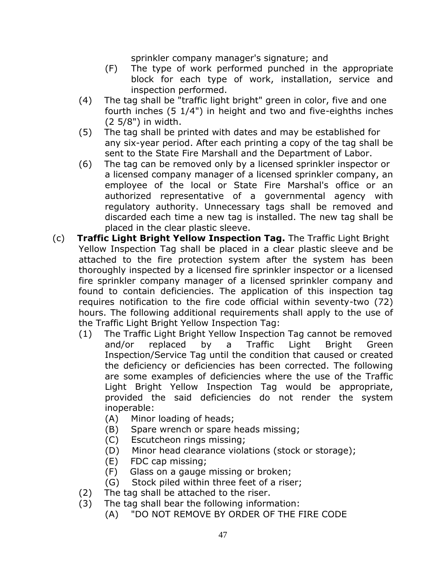sprinkler company manager's signature; and

- (F) The type of work performed punched in the appropriate block for each type of work, installation, service and inspection performed.
- (4) The tag shall be "traffic light bright" green in color, five and one fourth inches (5 1/4") in height and two and five-eighths inches (2 5/8") in width.
- (5) The tag shall be printed with dates and may be established for any six-year period. After each printing a copy of the tag shall be sent to the State Fire Marshall and the Department of Labor.
- (6) The tag can be removed only by a licensed sprinkler inspector or a licensed company manager of a licensed sprinkler company, an employee of the local or State Fire Marshal's office or an authorized representative of a governmental agency with regulatory authority. Unnecessary tags shall be removed and discarded each time a new tag is installed. The new tag shall be placed in the clear plastic sleeve.
- (c) **Traffic Light Bright Yellow Inspection Tag.** The Traffic Light Bright Yellow Inspection Tag shall be placed in a clear plastic sleeve and be attached to the fire protection system after the system has been thoroughly inspected by a licensed fire sprinkler inspector or a licensed fire sprinkler company manager of a licensed sprinkler company and found to contain deficiencies. The application of this inspection tag requires notification to the fire code official within seventy-two (72) hours. The following additional requirements shall apply to the use of the Traffic Light Bright Yellow Inspection Tag:
	- (1) The Traffic Light Bright Yellow Inspection Tag cannot be removed and/or replaced by a Traffic Light Bright Green Inspection/Service Tag until the condition that caused or created the deficiency or deficiencies has been corrected. The following are some examples of deficiencies where the use of the Traffic Light Bright Yellow Inspection Tag would be appropriate, provided the said deficiencies do not render the system inoperable:
		- (A) Minor loading of heads;
		- (B) Spare wrench or spare heads missing;
		- (C) Escutcheon rings missing;
		- (D) Minor head clearance violations (stock or storage);
		- (E) FDC cap missing;
		- (F) Glass on a gauge missing or broken;
		- (G) Stock piled within three feet of a riser;
	- (2) The tag shall be attached to the riser.
	- (3) The tag shall bear the following information:
		- (A) "DO NOT REMOVE BY ORDER OF THE FIRE CODE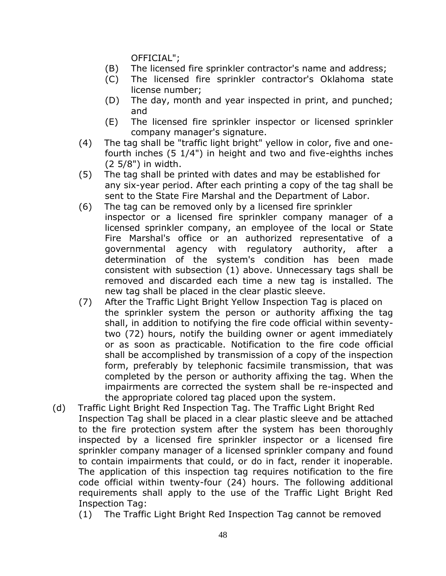OFFICIAL";

- (B) The licensed fire sprinkler contractor's name and address;
- (C) The licensed fire sprinkler contractor's Oklahoma state license number;
- (D) The day, month and year inspected in print, and punched; and
- (E) The licensed fire sprinkler inspector or licensed sprinkler company manager's signature.
- (4) The tag shall be "traffic light bright" yellow in color, five and onefourth inches (5 1/4") in height and two and five-eighths inches (2 5/8") in width.
- (5) The tag shall be printed with dates and may be established for any six-year period. After each printing a copy of the tag shall be sent to the State Fire Marshal and the Department of Labor.
- (6) The tag can be removed only by a licensed fire sprinkler inspector or a licensed fire sprinkler company manager of a licensed sprinkler company, an employee of the local or State Fire Marshal's office or an authorized representative of a governmental agency with regulatory authority, after a determination of the system's condition has been made consistent with subsection (1) above. Unnecessary tags shall be removed and discarded each time a new tag is installed. The new tag shall be placed in the clear plastic sleeve.
- (7) After the Traffic Light Bright Yellow Inspection Tag is placed on the sprinkler system the person or authority affixing the tag shall, in addition to notifying the fire code official within seventytwo (72) hours, notify the building owner or agent immediately or as soon as practicable. Notification to the fire code official shall be accomplished by transmission of a copy of the inspection form, preferably by telephonic facsimile transmission, that was completed by the person or authority affixing the tag. When the impairments are corrected the system shall be re-inspected and the appropriate colored tag placed upon the system.
- (d) Traffic Light Bright Red Inspection Tag. The Traffic Light Bright Red Inspection Tag shall be placed in a clear plastic sleeve and be attached to the fire protection system after the system has been thoroughly inspected by a licensed fire sprinkler inspector or a licensed fire sprinkler company manager of a licensed sprinkler company and found to contain impairments that could, or do in fact, render it inoperable. The application of this inspection tag requires notification to the fire code official within twenty-four (24) hours. The following additional requirements shall apply to the use of the Traffic Light Bright Red Inspection Tag:
	- (1) The Traffic Light Bright Red Inspection Tag cannot be removed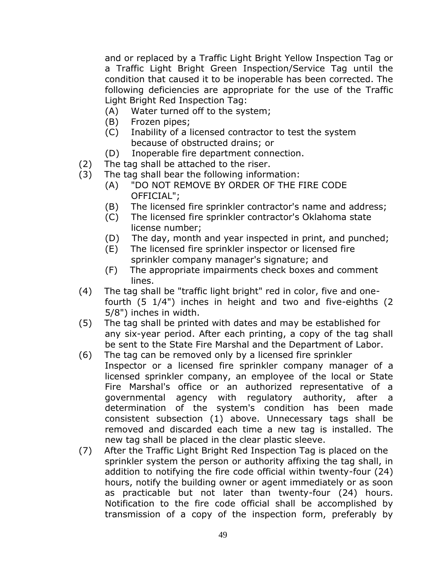and or replaced by a Traffic Light Bright Yellow Inspection Tag or a Traffic Light Bright Green Inspection/Service Tag until the condition that caused it to be inoperable has been corrected. The following deficiencies are appropriate for the use of the Traffic Light Bright Red Inspection Tag:

- (A) Water turned off to the system;
- (B) Frozen pipes;
- (C) Inability of a licensed contractor to test the system because of obstructed drains; or
- (D) Inoperable fire department connection.
- (2) The tag shall be attached to the riser.
- (3) The tag shall bear the following information:
	- (A) "DO NOT REMOVE BY ORDER OF THE FIRE CODE OFFICIAL";
	- (B) The licensed fire sprinkler contractor's name and address;
	- (C) The licensed fire sprinkler contractor's Oklahoma state license number;
	- (D) The day, month and year inspected in print, and punched;
	- (E) The licensed fire sprinkler inspector or licensed fire sprinkler company manager's signature; and
	- (F) The appropriate impairments check boxes and comment lines.
- (4) The tag shall be "traffic light bright" red in color, five and onefourth (5 1/4") inches in height and two and five-eighths (2 5/8") inches in width.
- (5) The tag shall be printed with dates and may be established for any six-year period. After each printing, a copy of the tag shall be sent to the State Fire Marshal and the Department of Labor.
- (6) The tag can be removed only by a licensed fire sprinkler Inspector or a licensed fire sprinkler company manager of a licensed sprinkler company, an employee of the local or State Fire Marshal's office or an authorized representative of a governmental agency with regulatory authority, after a determination of the system's condition has been made consistent subsection (1) above. Unnecessary tags shall be removed and discarded each time a new tag is installed. The new tag shall be placed in the clear plastic sleeve.
- (7) After the Traffic Light Bright Red Inspection Tag is placed on the sprinkler system the person or authority affixing the tag shall, in addition to notifying the fire code official within twenty-four (24) hours, notify the building owner or agent immediately or as soon as practicable but not later than twenty-four (24) hours. Notification to the fire code official shall be accomplished by transmission of a copy of the inspection form, preferably by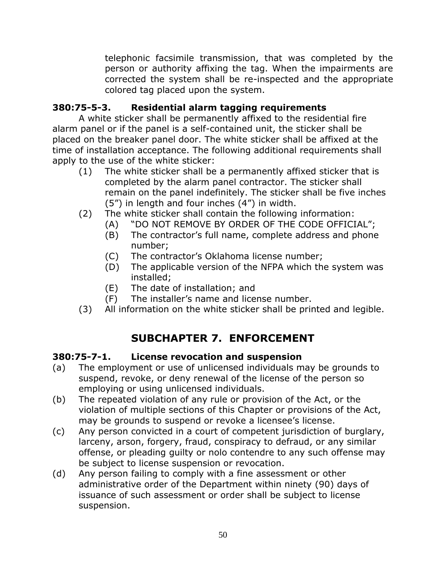telephonic facsimile transmission, that was completed by the person or authority affixing the tag. When the impairments are corrected the system shall be re-inspected and the appropriate colored tag placed upon the system.

## <span id="page-52-0"></span>**380:75-5-3. Residential alarm tagging requirements**

A white sticker shall be permanently affixed to the residential fire alarm panel or if the panel is a self-contained unit, the sticker shall be placed on the breaker panel door. The white sticker shall be affixed at the time of installation acceptance. The following additional requirements shall apply to the use of the white sticker:

- (1) The white sticker shall be a permanently affixed sticker that is completed by the alarm panel contractor. The sticker shall remain on the panel indefinitely. The sticker shall be five inches (5") in length and four inches (4") in width.
- (2) The white sticker shall contain the following information:
	- (A) "DO NOT REMOVE BY ORDER OF THE CODE OFFICIAL";
	- (B) The contractor's full name, complete address and phone number;
	- (C) The contractor's Oklahoma license number;
	- (D) The applicable version of the NFPA which the system was installed;
	- (E) The date of installation; and
	- (F) The installer's name and license number.
- <span id="page-52-1"></span>(3) All information on the white sticker shall be printed and legible.

## **SUBCHAPTER 7. ENFORCEMENT**

#### <span id="page-52-2"></span>**380:75-7-1. License revocation and suspension**

- (a) The employment or use of unlicensed individuals may be grounds to suspend, revoke, or deny renewal of the license of the person so employing or using unlicensed individuals.
- (b) The repeated violation of any rule or provision of the Act, or the violation of multiple sections of this Chapter or provisions of the Act, may be grounds to suspend or revoke a licensee's license.
- (c) Any person convicted in a court of competent jurisdiction of burglary, larceny, arson, forgery, fraud, conspiracy to defraud, or any similar offense, or pleading guilty or nolo contendre to any such offense may be subject to license suspension or revocation.
- (d) Any person failing to comply with a fine assessment or other administrative order of the Department within ninety (90) days of issuance of such assessment or order shall be subject to license suspension.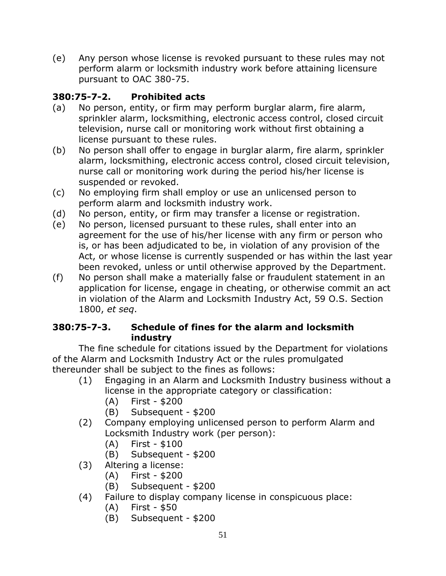(e) Any person whose license is revoked pursuant to these rules may not perform alarm or locksmith industry work before attaining licensure pursuant to OAC 380-75.

## <span id="page-53-0"></span>**380:75-7-2. Prohibited acts**

- (a) No person, entity, or firm may perform burglar alarm, fire alarm, sprinkler alarm, locksmithing, electronic access control, closed circuit television, nurse call or monitoring work without first obtaining a license pursuant to these rules.
- (b) No person shall offer to engage in burglar alarm, fire alarm, sprinkler alarm, locksmithing, electronic access control, closed circuit television, nurse call or monitoring work during the period his/her license is suspended or revoked.
- (c) No employing firm shall employ or use an unlicensed person to perform alarm and locksmith industry work.
- (d) No person, entity, or firm may transfer a license or registration.
- (e) No person, licensed pursuant to these rules, shall enter into an agreement for the use of his/her license with any firm or person who is, or has been adjudicated to be, in violation of any provision of the Act, or whose license is currently suspended or has within the last year been revoked, unless or until otherwise approved by the Department.
- (f) No person shall make a materially false or fraudulent statement in an application for license, engage in cheating, or otherwise commit an act in violation of the Alarm and Locksmith Industry Act, 59 O.S. Section 1800, *et seq*.

#### <span id="page-53-1"></span>**380:75-7-3. Schedule of fines for the alarm and locksmith industry**

The fine schedule for citations issued by the Department for violations of the Alarm and Locksmith Industry Act or the rules promulgated thereunder shall be subject to the fines as follows:

- (1) Engaging in an Alarm and Locksmith Industry business without a license in the appropriate category or classification:
	- (A) First \$200
	- (B) Subsequent \$200
- (2) Company employing unlicensed person to perform Alarm and Locksmith Industry work (per person):
	- (A) First \$100
	- (B) Subsequent \$200
- (3) Altering a license:
	- (A) First \$200
	- (B) Subsequent \$200
- (4) Failure to display company license in conspicuous place:
	- (A) First \$50
	- (B) Subsequent \$200